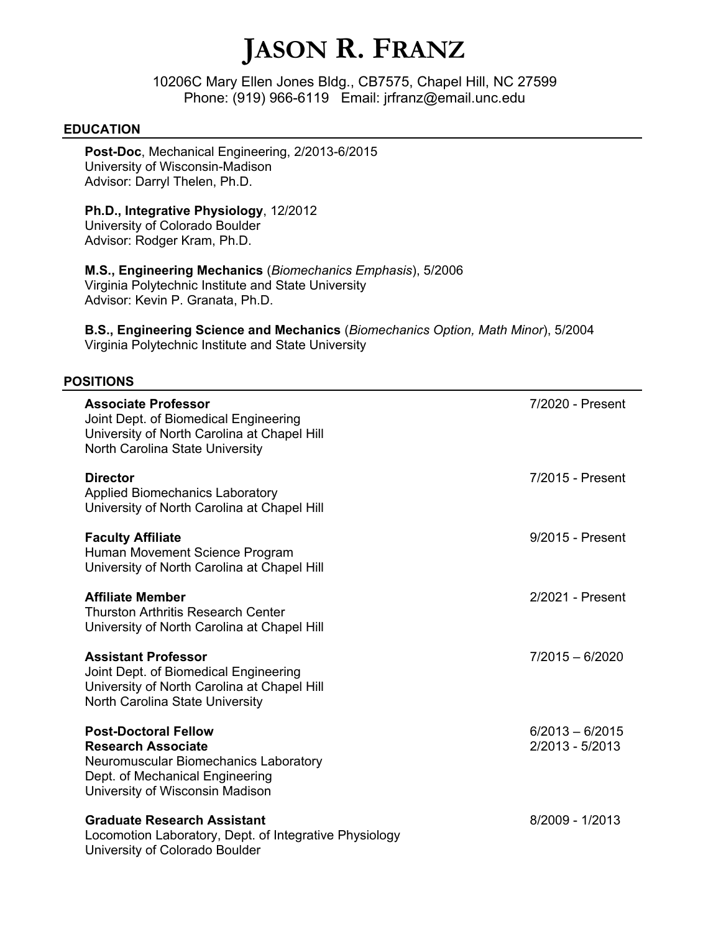# **JASON R. FRANZ**

10206C Mary Ellen Jones Bldg., CB7575, Chapel Hill, NC 27599 Phone: (919) 966-6119 Email: jrfranz@email.unc.edu

#### **EDUCATION**

**Post-Doc**, Mechanical Engineering, 2/2013-6/2015 University of Wisconsin-Madison Advisor: Darryl Thelen, Ph.D.

# **Ph.D., Integrative Physiology**, 12/2012

University of Colorado Boulder Advisor: Rodger Kram, Ph.D.

**M.S., Engineering Mechanics** (*Biomechanics Emphasis*), 5/2006 Virginia Polytechnic Institute and State University Advisor: Kevin P. Granata, Ph.D.

**B.S., Engineering Science and Mechanics** (*Biomechanics Option, Math Minor*), 5/2004 Virginia Polytechnic Institute and State University

# **POSITIONS**

| <b>Associate Professor</b><br>Joint Dept. of Biomedical Engineering<br>University of North Carolina at Chapel Hill<br>North Carolina State University                   | 7/2020 - Present                     |
|-------------------------------------------------------------------------------------------------------------------------------------------------------------------------|--------------------------------------|
| <b>Director</b><br><b>Applied Biomechanics Laboratory</b><br>University of North Carolina at Chapel Hill                                                                | 7/2015 - Present                     |
| <b>Faculty Affiliate</b><br>Human Movement Science Program<br>University of North Carolina at Chapel Hill                                                               | 9/2015 - Present                     |
| <b>Affiliate Member</b><br><b>Thurston Arthritis Research Center</b><br>University of North Carolina at Chapel Hill                                                     | 2/2021 - Present                     |
| <b>Assistant Professor</b><br>Joint Dept. of Biomedical Engineering<br>University of North Carolina at Chapel Hill<br>North Carolina State University                   | $7/2015 - 6/2020$                    |
| <b>Post-Doctoral Fellow</b><br><b>Research Associate</b><br>Neuromuscular Biomechanics Laboratory<br>Dept. of Mechanical Engineering<br>University of Wisconsin Madison | $6/2013 - 6/2015$<br>2/2013 - 5/2013 |
| <b>Graduate Research Assistant</b><br>Locomotion Laboratory, Dept. of Integrative Physiology<br>University of Colorado Boulder                                          | 8/2009 - 1/2013                      |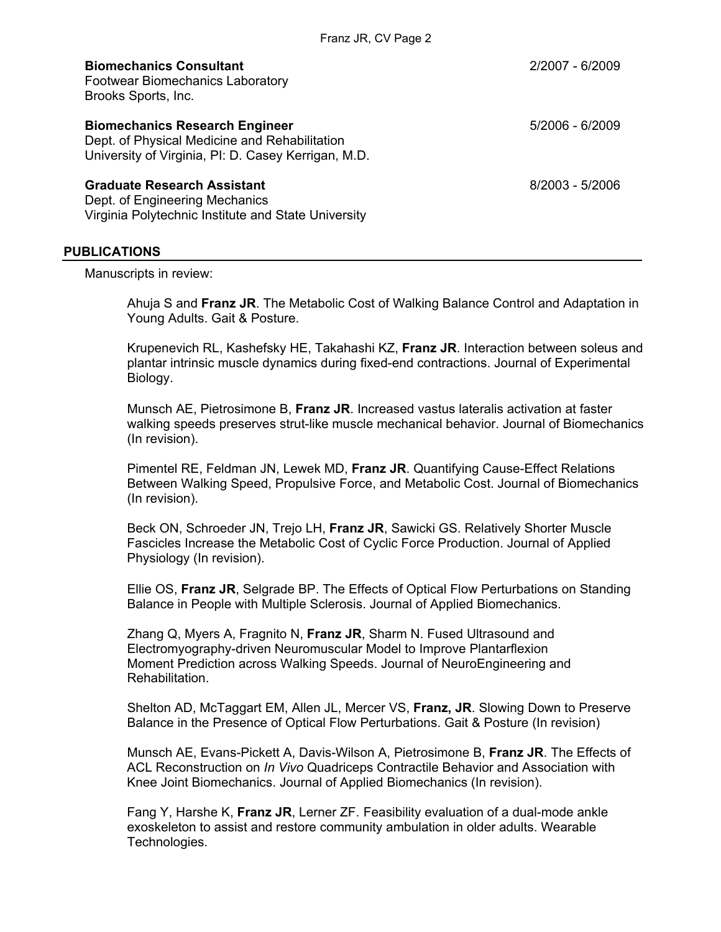Franz JR, CV Page 2

| <b>Biomechanics Consultant</b><br><b>Footwear Biomechanics Laboratory</b><br>Brooks Sports, Inc.                                              | 2/2007 - 6/2009   |
|-----------------------------------------------------------------------------------------------------------------------------------------------|-------------------|
| <b>Biomechanics Research Engineer</b><br>Dept. of Physical Medicine and Rehabilitation<br>University of Virginia, PI: D. Casey Kerrigan, M.D. | 5/2006 - 6/2009   |
| <b>Graduate Research Assistant</b><br>Dept. of Engineering Mechanics                                                                          | $8/2003 - 5/2006$ |

Dept. of Engineering Mechanics Virginia Polytechnic Institute and State University

#### **PUBLICATIONS**

Manuscripts in review:

Ahuja S and **Franz JR**. The Metabolic Cost of Walking Balance Control and Adaptation in Young Adults. Gait & Posture.

Krupenevich RL, Kashefsky HE, Takahashi KZ, **Franz JR**. Interaction between soleus and plantar intrinsic muscle dynamics during fixed-end contractions. Journal of Experimental Biology.

Munsch AE, Pietrosimone B, **Franz JR**. Increased vastus lateralis activation at faster walking speeds preserves strut-like muscle mechanical behavior. Journal of Biomechanics (In revision).

Pimentel RE, Feldman JN, Lewek MD, **Franz JR**. Quantifying Cause-Effect Relations Between Walking Speed, Propulsive Force, and Metabolic Cost. Journal of Biomechanics (In revision).

Beck ON, Schroeder JN, Trejo LH, **Franz JR**, Sawicki GS. Relatively Shorter Muscle Fascicles Increase the Metabolic Cost of Cyclic Force Production. Journal of Applied Physiology (In revision).

Ellie OS, **Franz JR**, Selgrade BP. The Effects of Optical Flow Perturbations on Standing Balance in People with Multiple Sclerosis. Journal of Applied Biomechanics.

Zhang Q, Myers A, Fragnito N, **Franz JR**, Sharm N. Fused Ultrasound and Electromyography-driven Neuromuscular Model to Improve Plantarflexion Moment Prediction across Walking Speeds. Journal of NeuroEngineering and Rehabilitation.

Shelton AD, McTaggart EM, Allen JL, Mercer VS, **Franz, JR**. Slowing Down to Preserve Balance in the Presence of Optical Flow Perturbations. Gait & Posture (In revision)

Munsch AE, Evans-Pickett A, Davis-Wilson A, Pietrosimone B, **Franz JR**. The Effects of ACL Reconstruction on *In Vivo* Quadriceps Contractile Behavior and Association with Knee Joint Biomechanics. Journal of Applied Biomechanics (In revision).

Fang Y, Harshe K, **Franz JR**, Lerner ZF. Feasibility evaluation of a dual-mode ankle exoskeleton to assist and restore community ambulation in older adults. Wearable Technologies.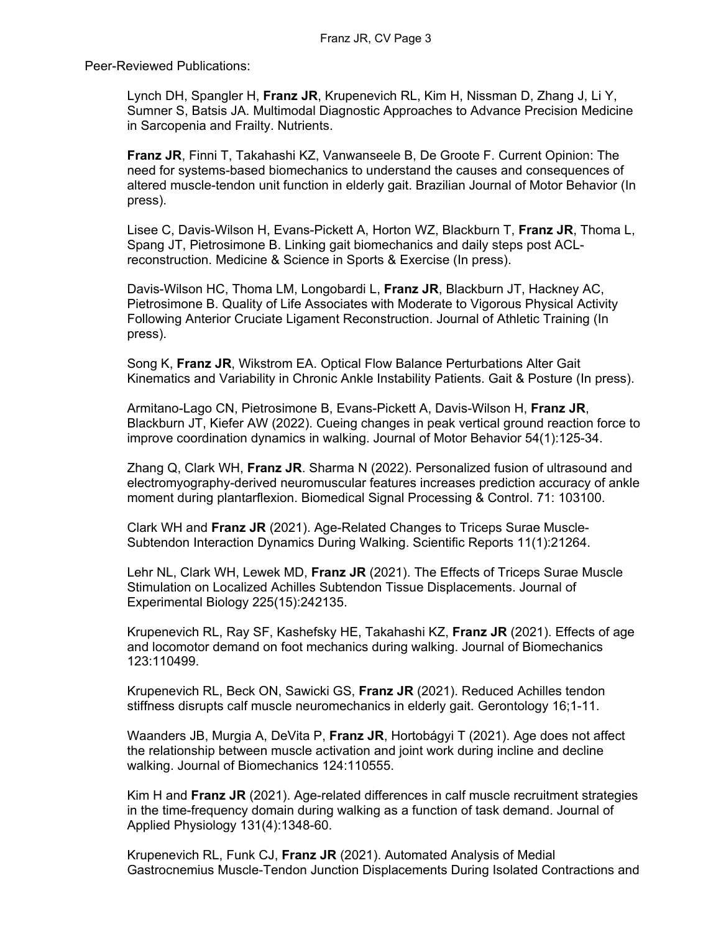Peer-Reviewed Publications:

Lynch DH, Spangler H, **Franz JR**, Krupenevich RL, Kim H, Nissman D, Zhang J, Li Y, Sumner S, Batsis JA. Multimodal Diagnostic Approaches to Advance Precision Medicine in Sarcopenia and Frailty. Nutrients.

**Franz JR**, Finni T, Takahashi KZ, Vanwanseele B, De Groote F. Current Opinion: The need for systems-based biomechanics to understand the causes and consequences of altered muscle-tendon unit function in elderly gait. Brazilian Journal of Motor Behavior (In press).

Lisee C, Davis-Wilson H, Evans-Pickett A, Horton WZ, Blackburn T, **Franz JR**, Thoma L, Spang JT, Pietrosimone B. Linking gait biomechanics and daily steps post ACLreconstruction. Medicine & Science in Sports & Exercise (In press).

Davis-Wilson HC, Thoma LM, Longobardi L, **Franz JR**, Blackburn JT, Hackney AC, Pietrosimone B. Quality of Life Associates with Moderate to Vigorous Physical Activity Following Anterior Cruciate Ligament Reconstruction. Journal of Athletic Training (In press).

Song K, **Franz JR**, Wikstrom EA. Optical Flow Balance Perturbations Alter Gait Kinematics and Variability in Chronic Ankle Instability Patients. Gait & Posture (In press).

Armitano-Lago CN, Pietrosimone B, Evans-Pickett A, Davis-Wilson H, **Franz JR**, Blackburn JT, Kiefer AW (2022). Cueing changes in peak vertical ground reaction force to improve coordination dynamics in walking. Journal of Motor Behavior 54(1):125-34.

Zhang Q, Clark WH, **Franz JR**. Sharma N (2022). Personalized fusion of ultrasound and electromyography-derived neuromuscular features increases prediction accuracy of ankle moment during plantarflexion. Biomedical Signal Processing & Control. 71: 103100.

Clark WH and **Franz JR** (2021). Age-Related Changes to Triceps Surae Muscle-Subtendon Interaction Dynamics During Walking. Scientific Reports 11(1):21264.

Lehr NL, Clark WH, Lewek MD, **Franz JR** (2021). The Effects of Triceps Surae Muscle Stimulation on Localized Achilles Subtendon Tissue Displacements. Journal of Experimental Biology 225(15):242135.

Krupenevich RL, Ray SF, Kashefsky HE, Takahashi KZ, **Franz JR** (2021). Effects of age and locomotor demand on foot mechanics during walking. Journal of Biomechanics 123:110499.

Krupenevich RL, Beck ON, Sawicki GS, **Franz JR** (2021). Reduced Achilles tendon stiffness disrupts calf muscle neuromechanics in elderly gait. Gerontology 16;1-11.

Waanders JB, Murgia A, DeVita P, **Franz JR**, Hortobágyi T (2021). Age does not affect the relationship between muscle activation and joint work during incline and decline walking. Journal of Biomechanics 124:110555.

Kim H and **Franz JR** (2021). Age-related differences in calf muscle recruitment strategies in the time-frequency domain during walking as a function of task demand. Journal of Applied Physiology 131(4):1348-60.

Krupenevich RL, Funk CJ, **Franz JR** (2021). Automated Analysis of Medial Gastrocnemius Muscle-Tendon Junction Displacements During Isolated Contractions and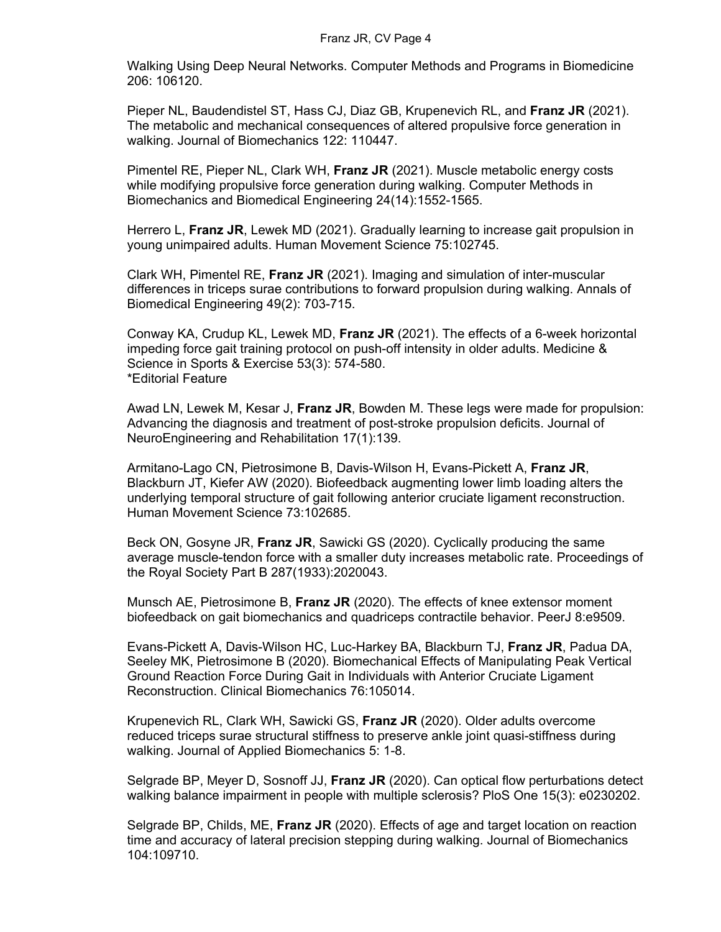Walking Using Deep Neural Networks. Computer Methods and Programs in Biomedicine 206: 106120.

Pieper NL, Baudendistel ST, Hass CJ, Diaz GB, Krupenevich RL, and **Franz JR** (2021). The metabolic and mechanical consequences of altered propulsive force generation in walking. Journal of Biomechanics 122: 110447.

Pimentel RE, Pieper NL, Clark WH, **Franz JR** (2021). Muscle metabolic energy costs while modifying propulsive force generation during walking. Computer Methods in Biomechanics and Biomedical Engineering 24(14):1552-1565.

Herrero L, **Franz JR**, Lewek MD (2021). Gradually learning to increase gait propulsion in young unimpaired adults. Human Movement Science 75:102745.

Clark WH, Pimentel RE, **Franz JR** (2021). Imaging and simulation of inter-muscular differences in triceps surae contributions to forward propulsion during walking. Annals of Biomedical Engineering 49(2): 703-715.

Conway KA, Crudup KL, Lewek MD, **Franz JR** (2021). The effects of a 6-week horizontal impeding force gait training protocol on push-off intensity in older adults. Medicine & Science in Sports & Exercise 53(3): 574-580. \*Editorial Feature

Awad LN, Lewek M, Kesar J, **Franz JR**, Bowden M. These legs were made for propulsion: Advancing the diagnosis and treatment of post-stroke propulsion deficits. Journal of NeuroEngineering and Rehabilitation 17(1):139.

Armitano-Lago CN, Pietrosimone B, Davis-Wilson H, Evans-Pickett A, **Franz JR**, Blackburn JT, Kiefer AW (2020). Biofeedback augmenting lower limb loading alters the underlying temporal structure of gait following anterior cruciate ligament reconstruction. Human Movement Science 73:102685.

Beck ON, Gosyne JR, **Franz JR**, Sawicki GS (2020). Cyclically producing the same average muscle-tendon force with a smaller duty increases metabolic rate. Proceedings of the Royal Society Part B 287(1933):2020043.

Munsch AE, Pietrosimone B, **Franz JR** (2020). The effects of knee extensor moment biofeedback on gait biomechanics and quadriceps contractile behavior. PeerJ 8:e9509.

Evans-Pickett A, Davis-Wilson HC, Luc-Harkey BA, Blackburn TJ, **Franz JR**, Padua DA, Seeley MK, Pietrosimone B (2020). Biomechanical Effects of Manipulating Peak Vertical Ground Reaction Force During Gait in Individuals with Anterior Cruciate Ligament Reconstruction. Clinical Biomechanics 76:105014.

Krupenevich RL, Clark WH, Sawicki GS, **Franz JR** (2020). Older adults overcome reduced triceps surae structural stiffness to preserve ankle joint quasi-stiffness during walking. Journal of Applied Biomechanics 5: 1-8.

Selgrade BP, Meyer D, Sosnoff JJ, **Franz JR** (2020). Can optical flow perturbations detect walking balance impairment in people with multiple sclerosis? PloS One 15(3): e0230202.

Selgrade BP, Childs, ME, **Franz JR** (2020). Effects of age and target location on reaction time and accuracy of lateral precision stepping during walking. Journal of Biomechanics 104:109710.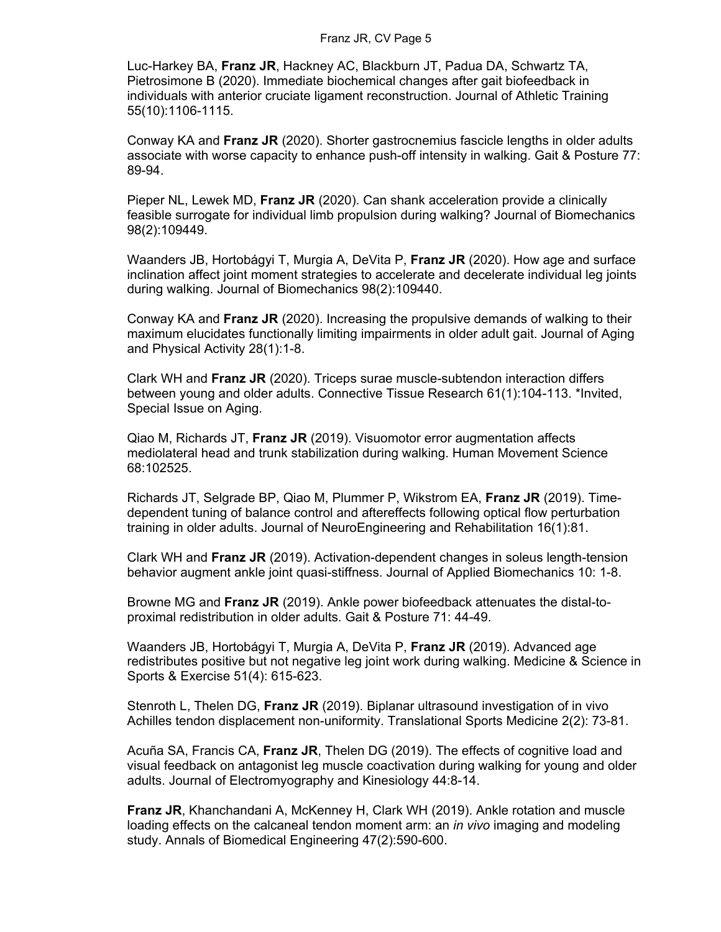#### Franz JR, CV Page 5

Luc-Harkey BA, **Franz JR**, Hackney AC, Blackburn JT, Padua DA, Schwartz TA, Pietrosimone B (2020). Immediate biochemical changes after gait biofeedback in individuals with anterior cruciate ligament reconstruction. Journal of Athletic Training 55(10):1106-1115.

Conway KA and **Franz JR** (2020). Shorter gastrocnemius fascicle lengths in older adults associate with worse capacity to enhance push-off intensity in walking. Gait & Posture 77: 89-94.

Pieper NL, Lewek MD, **Franz JR** (2020). Can shank acceleration provide a clinically feasible surrogate for individual limb propulsion during walking? Journal of Biomechanics 98(2):109449.

Waanders JB, Hortobágyi T, Murgia A, DeVita P, **Franz JR** (2020). How age and surface inclination affect joint moment strategies to accelerate and decelerate individual leg joints during walking. Journal of Biomechanics 98(2):109440.

Conway KA and **Franz JR** (2020). Increasing the propulsive demands of walking to their maximum elucidates functionally limiting impairments in older adult gait. Journal of Aging and Physical Activity 28(1):1-8.

Clark WH and **Franz JR** (2020). Triceps surae muscle-subtendon interaction differs between young and older adults. Connective Tissue Research 61(1):104-113. \*Invited, Special Issue on Aging.

Qiao M, Richards JT, **Franz JR** (2019). Visuomotor error augmentation affects mediolateral head and trunk stabilization during walking. Human Movement Science 68:102525.

Richards JT, Selgrade BP, Qiao M, Plummer P, Wikstrom EA, **Franz JR** (2019). Timedependent tuning of balance control and aftereffects following optical flow perturbation training in older adults. Journal of NeuroEngineering and Rehabilitation 16(1):81.

Clark WH and **Franz JR** (2019). Activation-dependent changes in soleus length-tension behavior augment ankle joint quasi-stiffness. Journal of Applied Biomechanics 10: 1-8.

Browne MG and **Franz JR** (2019). Ankle power biofeedback attenuates the distal-toproximal redistribution in older adults. Gait & Posture 71: 44-49.

Waanders JB, Hortobágyi T, Murgia A, DeVita P, **Franz JR** (2019). Advanced age redistributes positive but not negative leg joint work during walking. Medicine & Science in Sports & Exercise 51(4): 615-623.

Stenroth L, Thelen DG, **Franz JR** (2019). Biplanar ultrasound investigation of in vivo Achilles tendon displacement non-uniformity. Translational Sports Medicine 2(2): 73-81.

Acuña SA, Francis CA, **Franz JR**, Thelen DG (2019). The effects of cognitive load and visual feedback on antagonist leg muscle coactivation during walking for young and older adults. Journal of Electromyography and Kinesiology 44:8-14.

**Franz JR**, Khanchandani A, McKenney H, Clark WH (2019). Ankle rotation and muscle loading effects on the calcaneal tendon moment arm: an *in vivo* imaging and modeling study. Annals of Biomedical Engineering 47(2):590-600.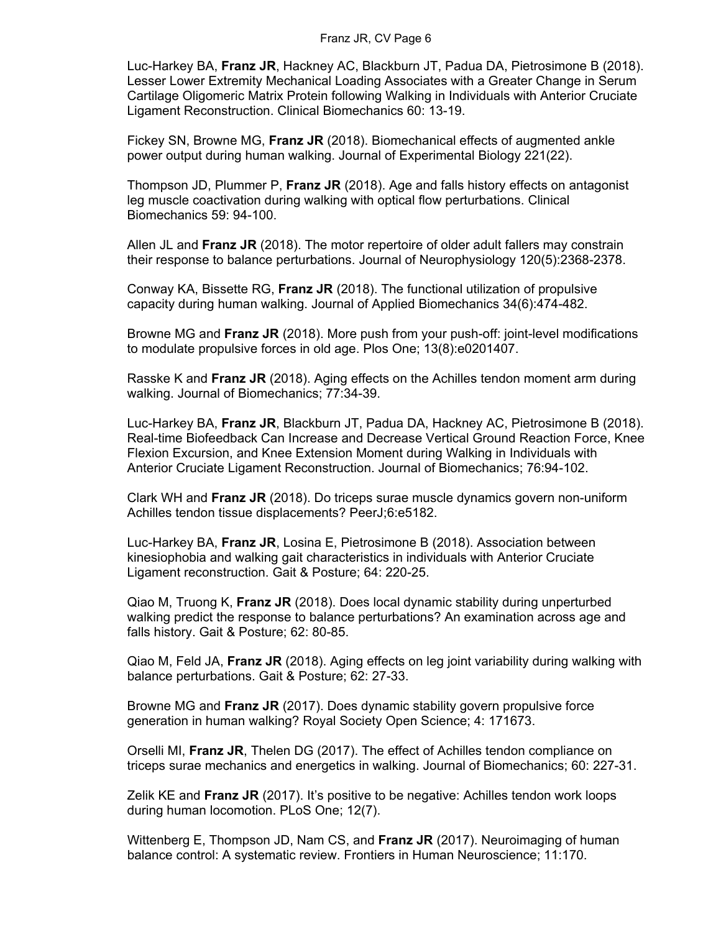#### Franz JR, CV Page 6

Luc-Harkey BA, **Franz JR**, Hackney AC, Blackburn JT, Padua DA, Pietrosimone B (2018). Lesser Lower Extremity Mechanical Loading Associates with a Greater Change in Serum Cartilage Oligomeric Matrix Protein following Walking in Individuals with Anterior Cruciate Ligament Reconstruction. Clinical Biomechanics 60: 13-19.

Fickey SN, Browne MG, **Franz JR** (2018). Biomechanical effects of augmented ankle power output during human walking. Journal of Experimental Biology 221(22).

Thompson JD, Plummer P, **Franz JR** (2018). Age and falls history effects on antagonist leg muscle coactivation during walking with optical flow perturbations. Clinical Biomechanics 59: 94-100.

Allen JL and **Franz JR** (2018). The motor repertoire of older adult fallers may constrain their response to balance perturbations. Journal of Neurophysiology 120(5):2368-2378.

Conway KA, Bissette RG, **Franz JR** (2018). The functional utilization of propulsive capacity during human walking. Journal of Applied Biomechanics 34(6):474-482.

Browne MG and **Franz JR** (2018). More push from your push-off: joint-level modifications to modulate propulsive forces in old age. Plos One; 13(8):e0201407.

Rasske K and **Franz JR** (2018). Aging effects on the Achilles tendon moment arm during walking. Journal of Biomechanics; 77:34-39.

Luc-Harkey BA, **Franz JR**, Blackburn JT, Padua DA, Hackney AC, Pietrosimone B (2018). Real-time Biofeedback Can Increase and Decrease Vertical Ground Reaction Force, Knee Flexion Excursion, and Knee Extension Moment during Walking in Individuals with Anterior Cruciate Ligament Reconstruction. Journal of Biomechanics; 76:94-102.

Clark WH and **Franz JR** (2018). Do triceps surae muscle dynamics govern non-uniform Achilles tendon tissue displacements? PeerJ;6:e5182.

Luc-Harkey BA, **Franz JR**, Losina E, Pietrosimone B (2018). Association between kinesiophobia and walking gait characteristics in individuals with Anterior Cruciate Ligament reconstruction. Gait & Posture; 64: 220-25.

Qiao M, Truong K, **Franz JR** (2018). Does local dynamic stability during unperturbed walking predict the response to balance perturbations? An examination across age and falls history. Gait & Posture; 62: 80-85.

Qiao M, Feld JA, **Franz JR** (2018). Aging effects on leg joint variability during walking with balance perturbations. Gait & Posture; 62: 27-33.

Browne MG and **Franz JR** (2017). Does dynamic stability govern propulsive force generation in human walking? Royal Society Open Science; 4: 171673.

Orselli MI, **Franz JR**, Thelen DG (2017). The effect of Achilles tendon compliance on triceps surae mechanics and energetics in walking. Journal of Biomechanics; 60: 227-31.

Zelik KE and **Franz JR** (2017). It's positive to be negative: Achilles tendon work loops during human locomotion. PLoS One; 12(7).

Wittenberg E, Thompson JD, Nam CS, and **Franz JR** (2017). Neuroimaging of human balance control: A systematic review. Frontiers in Human Neuroscience; 11:170.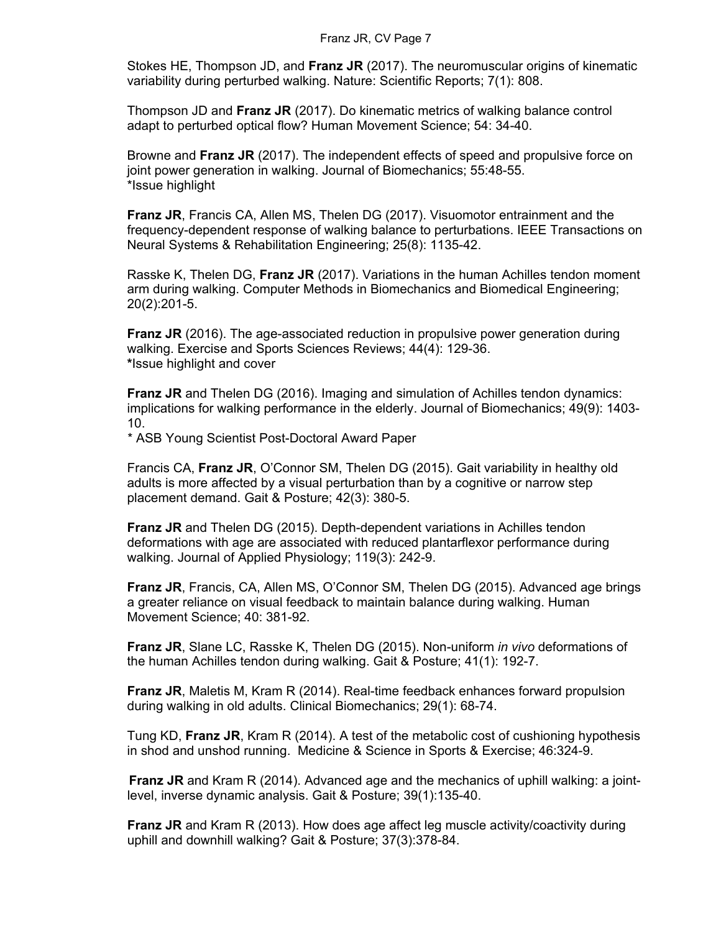Stokes HE, Thompson JD, and **Franz JR** (2017). The neuromuscular origins of kinematic variability during perturbed walking. Nature: Scientific Reports; 7(1): 808.

Thompson JD and **Franz JR** (2017). Do kinematic metrics of walking balance control adapt to perturbed optical flow? Human Movement Science; 54: 34-40.

Browne and **Franz JR** (2017). The independent effects of speed and propulsive force on joint power generation in walking. Journal of Biomechanics; 55:48-55. \*Issue highlight

**Franz JR**, Francis CA, Allen MS, Thelen DG (2017). Visuomotor entrainment and the frequency-dependent response of walking balance to perturbations. IEEE Transactions on Neural Systems & Rehabilitation Engineering; 25(8): 1135-42.

Rasske K, Thelen DG, **Franz JR** (2017). Variations in the human Achilles tendon moment arm during walking. Computer Methods in Biomechanics and Biomedical Engineering; 20(2):201-5.

**Franz JR** (2016). The age-associated reduction in propulsive power generation during walking. Exercise and Sports Sciences Reviews; 44(4): 129-36. **\***Issue highlight and cover

**Franz JR** and Thelen DG (2016). Imaging and simulation of Achilles tendon dynamics: implications for walking performance in the elderly. Journal of Biomechanics; 49(9): 1403- 10.

\* ASB Young Scientist Post-Doctoral Award Paper

Francis CA, **Franz JR**, O'Connor SM, Thelen DG (2015). Gait variability in healthy old adults is more affected by a visual perturbation than by a cognitive or narrow step placement demand. Gait & Posture; 42(3): 380-5.

**Franz JR** and Thelen DG (2015). Depth-dependent variations in Achilles tendon deformations with age are associated with reduced plantarflexor performance during walking. Journal of Applied Physiology; 119(3): 242-9.

**Franz JR**, Francis, CA, Allen MS, O'Connor SM, Thelen DG (2015). Advanced age brings a greater reliance on visual feedback to maintain balance during walking. Human Movement Science; 40: 381-92.

**Franz JR**, Slane LC, Rasske K, Thelen DG (2015). Non-uniform *in vivo* deformations of the human Achilles tendon during walking. Gait & Posture; 41(1): 192-7.

**Franz JR**, Maletis M, Kram R (2014). Real-time feedback enhances forward propulsion during walking in old adults. Clinical Biomechanics; 29(1): 68-74.

Tung KD, **Franz JR**, Kram R (2014). A test of the metabolic cost of cushioning hypothesis in shod and unshod running. Medicine & Science in Sports & Exercise; 46:324-9.

**Franz JR** and Kram R (2014). Advanced age and the mechanics of uphill walking: a jointlevel, inverse dynamic analysis. Gait & Posture; 39(1):135-40.

**Franz JR** and Kram R (2013). How does age affect leg muscle activity/coactivity during uphill and downhill walking? Gait & Posture; 37(3):378-84.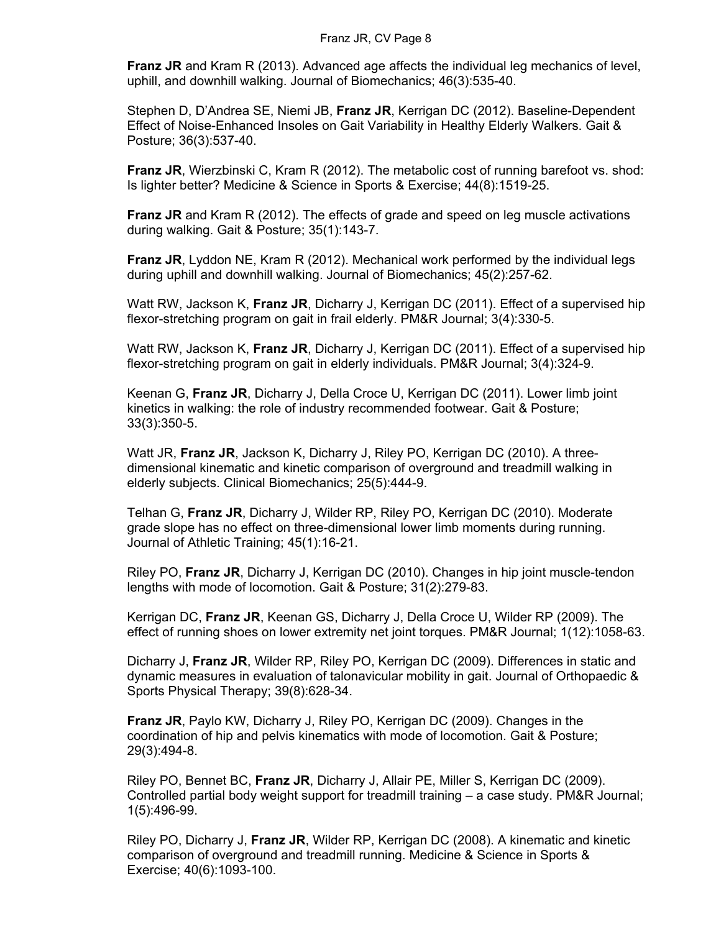**Franz JR** and Kram R (2013). Advanced age affects the individual leg mechanics of level, uphill, and downhill walking. Journal of Biomechanics; 46(3):535-40.

Stephen D, D'Andrea SE, Niemi JB, **Franz JR**, Kerrigan DC (2012). Baseline-Dependent Effect of Noise-Enhanced Insoles on Gait Variability in Healthy Elderly Walkers. Gait & Posture; 36(3):537-40.

**Franz JR**, Wierzbinski C, Kram R (2012). The metabolic cost of running barefoot vs. shod: Is lighter better? Medicine & Science in Sports & Exercise; 44(8):1519-25.

**Franz JR** and Kram R (2012). The effects of grade and speed on leg muscle activations during walking. Gait & Posture; 35(1):143-7.

**Franz JR**, Lyddon NE, Kram R (2012). Mechanical work performed by the individual legs during uphill and downhill walking. Journal of Biomechanics; 45(2):257-62.

Watt RW, Jackson K, **Franz JR**, Dicharry J, Kerrigan DC (2011). Effect of a supervised hip flexor-stretching program on gait in frail elderly. PM&R Journal; 3(4):330-5.

Watt RW, Jackson K, **Franz JR**, Dicharry J, Kerrigan DC (2011). Effect of a supervised hip flexor-stretching program on gait in elderly individuals. PM&R Journal; 3(4):324-9.

Keenan G, **Franz JR**, Dicharry J, Della Croce U, Kerrigan DC (2011). Lower limb joint kinetics in walking: the role of industry recommended footwear. Gait & Posture; 33(3):350-5.

Watt JR, **Franz JR**, Jackson K, Dicharry J, Riley PO, Kerrigan DC (2010). A threedimensional kinematic and kinetic comparison of overground and treadmill walking in elderly subjects. Clinical Biomechanics; 25(5):444-9.

Telhan G, **Franz JR**, Dicharry J, Wilder RP, Riley PO, Kerrigan DC (2010). Moderate grade slope has no effect on three-dimensional lower limb moments during running. Journal of Athletic Training; 45(1):16-21.

Riley PO, **Franz JR**, Dicharry J, Kerrigan DC (2010). Changes in hip joint muscle-tendon lengths with mode of locomotion. Gait & Posture; 31(2):279-83.

Kerrigan DC, **Franz JR**, Keenan GS, Dicharry J, Della Croce U, Wilder RP (2009). The effect of running shoes on lower extremity net joint torques. PM&R Journal; 1(12):1058-63.

Dicharry J, **Franz JR**, Wilder RP, Riley PO, Kerrigan DC (2009). Differences in static and dynamic measures in evaluation of talonavicular mobility in gait. Journal of Orthopaedic & Sports Physical Therapy; 39(8):628-34.

**Franz JR**, Paylo KW, Dicharry J, Riley PO, Kerrigan DC (2009). Changes in the coordination of hip and pelvis kinematics with mode of locomotion. Gait & Posture; 29(3):494-8.

Riley PO, Bennet BC, **Franz JR**, Dicharry J, Allair PE, Miller S, Kerrigan DC (2009). Controlled partial body weight support for treadmill training – a case study. PM&R Journal; 1(5):496-99.

Riley PO, Dicharry J, **Franz JR**, Wilder RP, Kerrigan DC (2008). A kinematic and kinetic comparison of overground and treadmill running. Medicine & Science in Sports & Exercise; 40(6):1093-100.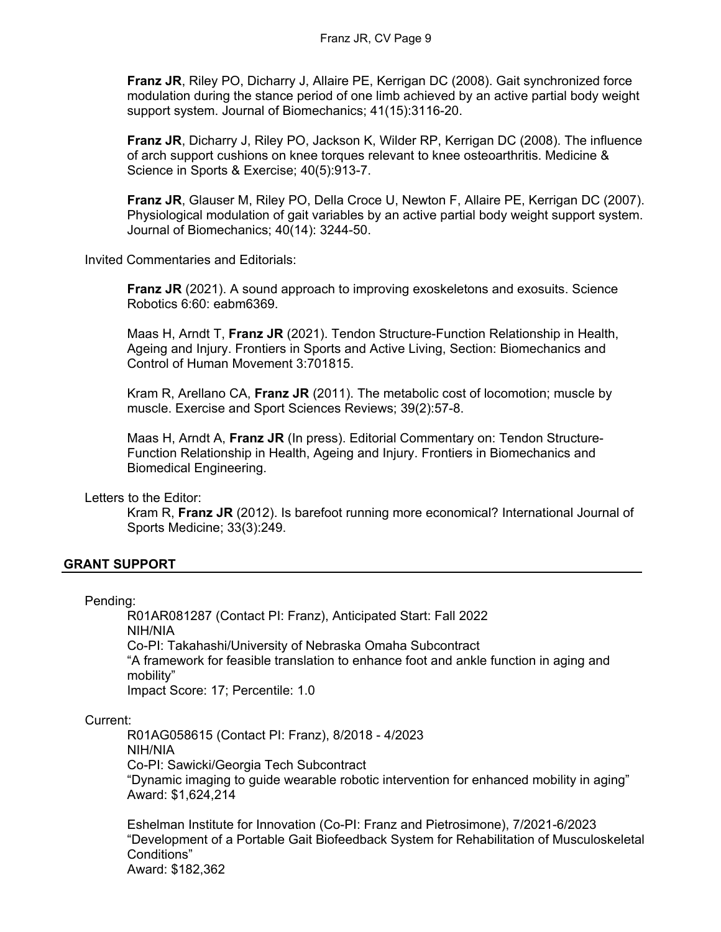**Franz JR**, Riley PO, Dicharry J, Allaire PE, Kerrigan DC (2008). Gait synchronized force modulation during the stance period of one limb achieved by an active partial body weight support system. Journal of Biomechanics; 41(15):3116-20.

**Franz JR**, Dicharry J, Riley PO, Jackson K, Wilder RP, Kerrigan DC (2008). The influence of arch support cushions on knee torques relevant to knee osteoarthritis. Medicine & Science in Sports & Exercise; 40(5):913-7.

**Franz JR**, Glauser M, Riley PO, Della Croce U, Newton F, Allaire PE, Kerrigan DC (2007). Physiological modulation of gait variables by an active partial body weight support system. Journal of Biomechanics; 40(14): 3244-50.

Invited Commentaries and Editorials:

**Franz JR** (2021). A sound approach to improving exoskeletons and exosuits. Science Robotics 6:60: eabm6369.

Maas H, Arndt T, **Franz JR** (2021). Tendon Structure-Function Relationship in Health, Ageing and Injury. Frontiers in Sports and Active Living, Section: Biomechanics and Control of Human Movement 3:701815.

Kram R, Arellano CA, **Franz JR** (2011). The metabolic cost of locomotion; muscle by muscle. Exercise and Sport Sciences Reviews; 39(2):57-8.

Maas H, Arndt A, **Franz JR** (In press). Editorial Commentary on: Tendon Structure-Function Relationship in Health, Ageing and Injury. Frontiers in Biomechanics and Biomedical Engineering.

Letters to the Editor:

Kram R, **Franz JR** (2012). Is barefoot running more economical? International Journal of Sports Medicine; 33(3):249.

#### **GRANT SUPPORT**

#### Pending:

R01AR081287 (Contact PI: Franz), Anticipated Start: Fall 2022 NIH/NIA Co-PI: Takahashi/University of Nebraska Omaha Subcontract "A framework for feasible translation to enhance foot and ankle function in aging and mobility" Impact Score: 17; Percentile: 1.0

#### Current:

R01AG058615 (Contact PI: Franz), 8/2018 - 4/2023 NIH/NIA Co-PI: Sawicki/Georgia Tech Subcontract "Dynamic imaging to guide wearable robotic intervention for enhanced mobility in aging" Award: \$1,624,214

Eshelman Institute for Innovation (Co-PI: Franz and Pietrosimone), 7/2021-6/2023 "Development of a Portable Gait Biofeedback System for Rehabilitation of Musculoskeletal Conditions" Award: \$182,362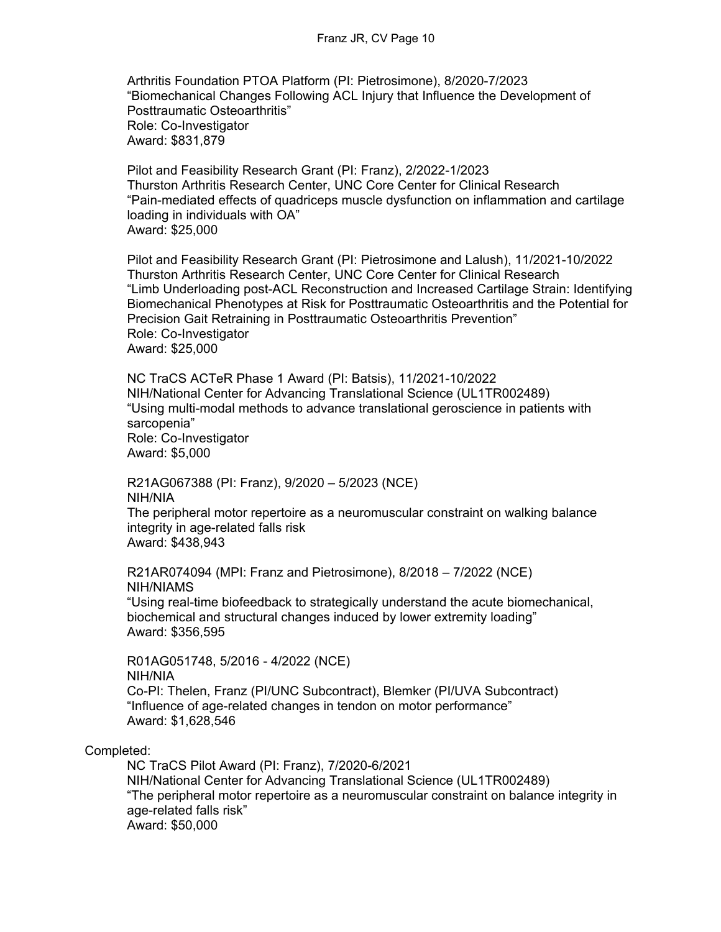Arthritis Foundation PTOA Platform (PI: Pietrosimone), 8/2020-7/2023 "Biomechanical Changes Following ACL Injury that Influence the Development of Posttraumatic Osteoarthritis" Role: Co-Investigator Award: \$831,879

Pilot and Feasibility Research Grant (PI: Franz), 2/2022-1/2023 Thurston Arthritis Research Center, UNC Core Center for Clinical Research "Pain-mediated effects of quadriceps muscle dysfunction on inflammation and cartilage loading in individuals with OA" Award: \$25,000

Pilot and Feasibility Research Grant (PI: Pietrosimone and Lalush), 11/2021-10/2022 Thurston Arthritis Research Center, UNC Core Center for Clinical Research "Limb Underloading post-ACL Reconstruction and Increased Cartilage Strain: Identifying Biomechanical Phenotypes at Risk for Posttraumatic Osteoarthritis and the Potential for Precision Gait Retraining in Posttraumatic Osteoarthritis Prevention" Role: Co-Investigator Award: \$25,000

NC TraCS ACTeR Phase 1 Award (PI: Batsis), 11/2021-10/2022 NIH/National Center for Advancing Translational Science (UL1TR002489) "Using multi-modal methods to advance translational geroscience in patients with sarcopenia" Role: Co-Investigator Award: \$5,000

R21AG067388 (PI: Franz), 9/2020 – 5/2023 (NCE) NIH/NIA The peripheral motor repertoire as a neuromuscular constraint on walking balance integrity in age-related falls risk Award: \$438,943

R21AR074094 (MPI: Franz and Pietrosimone), 8/2018 – 7/2022 (NCE) NIH/NIAMS "Using real-time biofeedback to strategically understand the acute biomechanical, biochemical and structural changes induced by lower extremity loading" Award: \$356,595

R01AG051748, 5/2016 - 4/2022 (NCE) NIH/NIA Co-PI: Thelen, Franz (PI/UNC Subcontract), Blemker (PI/UVA Subcontract) "Influence of age-related changes in tendon on motor performance" Award: \$1,628,546

Completed:

NC TraCS Pilot Award (PI: Franz), 7/2020-6/2021 NIH/National Center for Advancing Translational Science (UL1TR002489) "The peripheral motor repertoire as a neuromuscular constraint on balance integrity in age-related falls risk" Award: \$50,000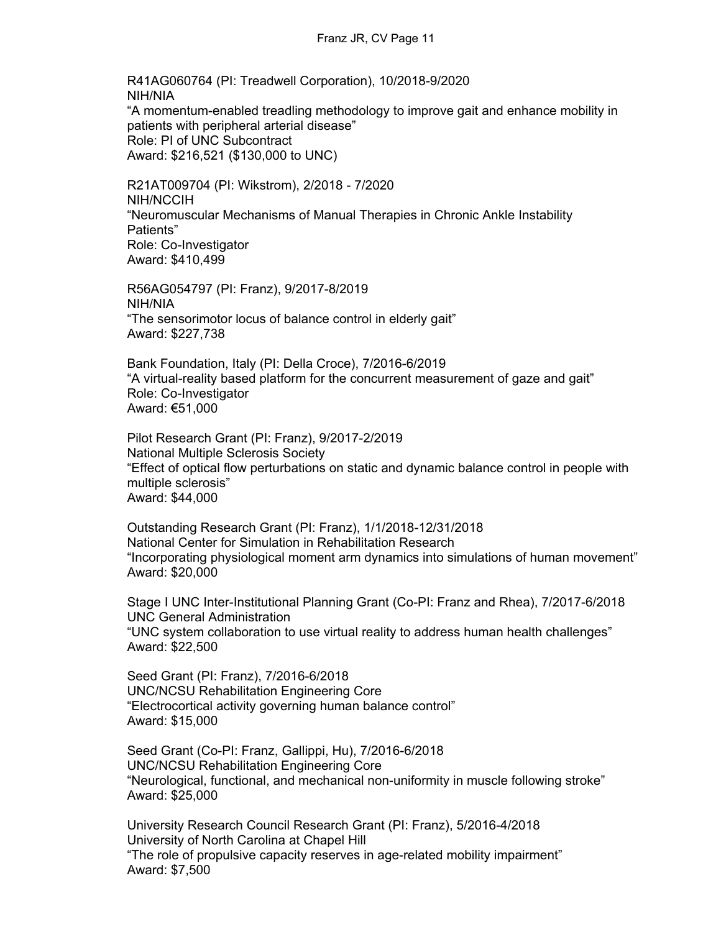Franz JR, CV Page 11

R41AG060764 (PI: Treadwell Corporation), 10/2018-9/2020 NIH/NIA "A momentum-enabled treadling methodology to improve gait and enhance mobility in patients with peripheral arterial disease" Role: PI of UNC Subcontract Award: \$216,521 (\$130,000 to UNC)

R21AT009704 (PI: Wikstrom), 2/2018 - 7/2020 NIH/NCCIH "Neuromuscular Mechanisms of Manual Therapies in Chronic Ankle Instability Patients" Role: Co-Investigator Award: \$410,499

R56AG054797 (PI: Franz), 9/2017-8/2019 NIH/NIA "The sensorimotor locus of balance control in elderly gait" Award: \$227,738

Bank Foundation, Italy (PI: Della Croce), 7/2016-6/2019 "A virtual-reality based platform for the concurrent measurement of gaze and gait" Role: Co-Investigator Award: €51,000

Pilot Research Grant (PI: Franz), 9/2017-2/2019 National Multiple Sclerosis Society "Effect of optical flow perturbations on static and dynamic balance control in people with multiple sclerosis" Award: \$44,000

Outstanding Research Grant (PI: Franz), 1/1/2018-12/31/2018 National Center for Simulation in Rehabilitation Research "Incorporating physiological moment arm dynamics into simulations of human movement" Award: \$20,000

Stage I UNC Inter-Institutional Planning Grant (Co-PI: Franz and Rhea), 7/2017-6/2018 UNC General Administration "UNC system collaboration to use virtual reality to address human health challenges" Award: \$22,500

Seed Grant (PI: Franz), 7/2016-6/2018 UNC/NCSU Rehabilitation Engineering Core "Electrocortical activity governing human balance control" Award: \$15,000

Seed Grant (Co-PI: Franz, Gallippi, Hu), 7/2016-6/2018 UNC/NCSU Rehabilitation Engineering Core "Neurological, functional, and mechanical non-uniformity in muscle following stroke" Award: \$25,000

University Research Council Research Grant (PI: Franz), 5/2016-4/2018 University of North Carolina at Chapel Hill "The role of propulsive capacity reserves in age-related mobility impairment" Award: \$7,500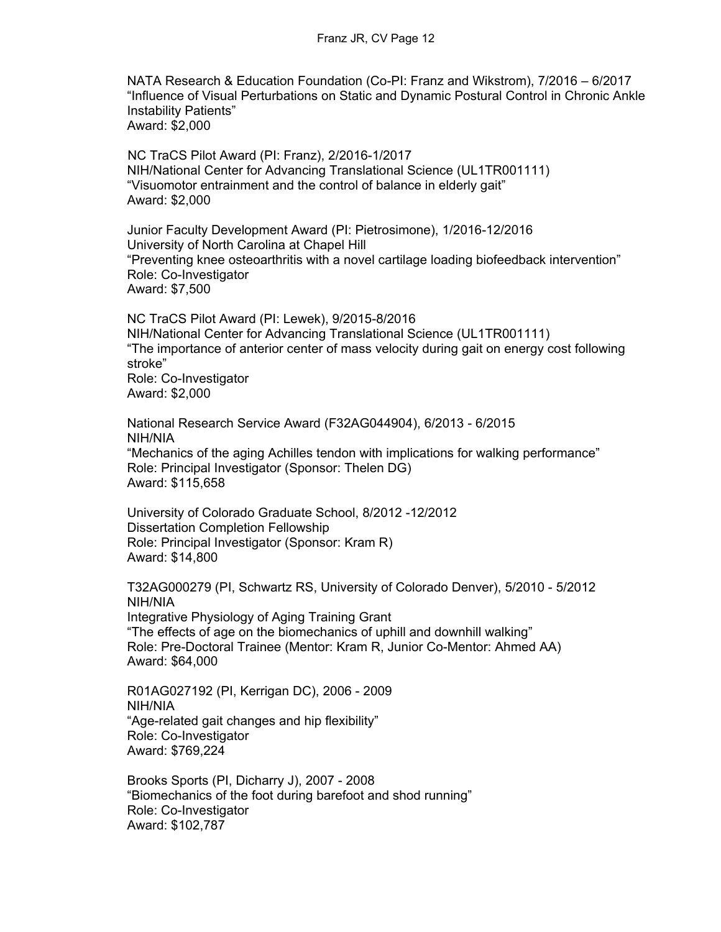NATA Research & Education Foundation (Co-PI: Franz and Wikstrom), 7/2016 – 6/2017 "Influence of Visual Perturbations on Static and Dynamic Postural Control in Chronic Ankle Instability Patients" Award: \$2,000

 NC TraCS Pilot Award (PI: Franz), 2/2016-1/2017 NIH/National Center for Advancing Translational Science (UL1TR001111) "Visuomotor entrainment and the control of balance in elderly gait" Award: \$2,000

Junior Faculty Development Award (PI: Pietrosimone), 1/2016-12/2016 University of North Carolina at Chapel Hill "Preventing knee osteoarthritis with a novel cartilage loading biofeedback intervention" Role: Co-Investigator Award: \$7,500

NC TraCS Pilot Award (PI: Lewek), 9/2015-8/2016 NIH/National Center for Advancing Translational Science (UL1TR001111) "The importance of anterior center of mass velocity during gait on energy cost following stroke" Role: Co-Investigator Award: \$2,000

National Research Service Award (F32AG044904), 6/2013 - 6/2015 NIH/NIA "Mechanics of the aging Achilles tendon with implications for walking performance" Role: Principal Investigator (Sponsor: Thelen DG) Award: \$115,658

University of Colorado Graduate School, 8/2012 -12/2012 Dissertation Completion Fellowship Role: Principal Investigator (Sponsor: Kram R) Award: \$14,800

T32AG000279 (PI, Schwartz RS, University of Colorado Denver), 5/2010 - 5/2012 NIH/NIA Integrative Physiology of Aging Training Grant "The effects of age on the biomechanics of uphill and downhill walking" Role: Pre-Doctoral Trainee (Mentor: Kram R, Junior Co-Mentor: Ahmed AA) Award: \$64,000

R01AG027192 (PI, Kerrigan DC), 2006 - 2009 NIH/NIA "Age-related gait changes and hip flexibility" Role: Co-Investigator Award: \$769,224

Brooks Sports (PI, Dicharry J), 2007 - 2008 "Biomechanics of the foot during barefoot and shod running" Role: Co-Investigator Award: \$102,787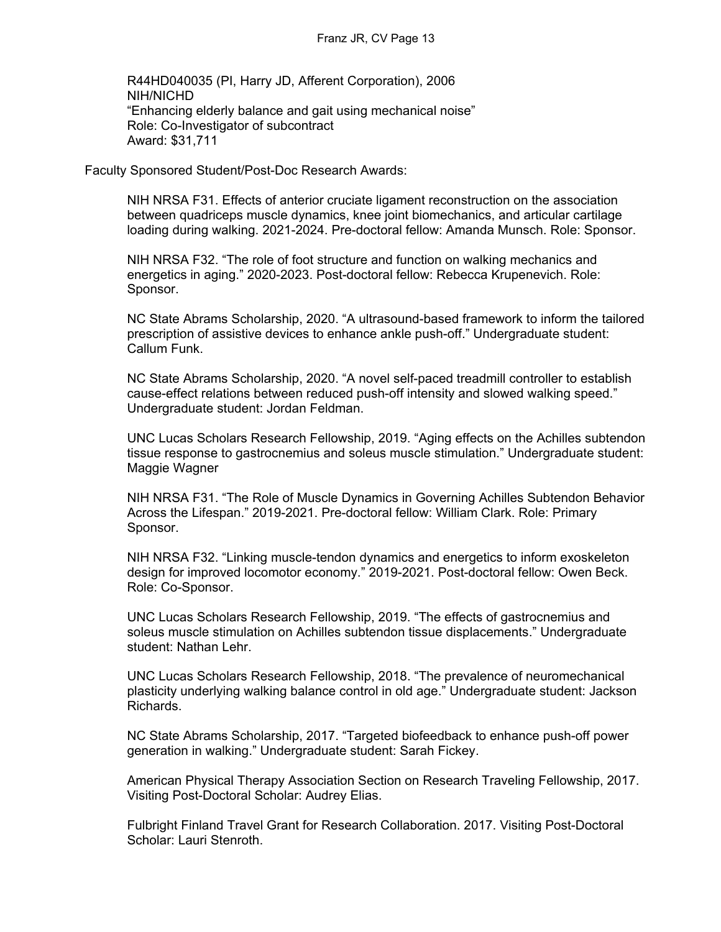R44HD040035 (PI, Harry JD, Afferent Corporation), 2006 NIH/NICHD "Enhancing elderly balance and gait using mechanical noise" Role: Co-Investigator of subcontract Award: \$31,711

Faculty Sponsored Student/Post-Doc Research Awards:

NIH NRSA F31. Effects of anterior cruciate ligament reconstruction on the association between quadriceps muscle dynamics, knee joint biomechanics, and articular cartilage loading during walking. 2021-2024. Pre-doctoral fellow: Amanda Munsch. Role: Sponsor.

NIH NRSA F32. "The role of foot structure and function on walking mechanics and energetics in aging." 2020-2023. Post-doctoral fellow: Rebecca Krupenevich. Role: Sponsor.

NC State Abrams Scholarship, 2020. "A ultrasound-based framework to inform the tailored prescription of assistive devices to enhance ankle push-off." Undergraduate student: Callum Funk.

NC State Abrams Scholarship, 2020. "A novel self-paced treadmill controller to establish cause-effect relations between reduced push-off intensity and slowed walking speed." Undergraduate student: Jordan Feldman.

UNC Lucas Scholars Research Fellowship, 2019. "Aging effects on the Achilles subtendon tissue response to gastrocnemius and soleus muscle stimulation." Undergraduate student: Maggie Wagner

NIH NRSA F31. "The Role of Muscle Dynamics in Governing Achilles Subtendon Behavior Across the Lifespan." 2019-2021. Pre-doctoral fellow: William Clark. Role: Primary Sponsor.

NIH NRSA F32. "Linking muscle-tendon dynamics and energetics to inform exoskeleton design for improved locomotor economy." 2019-2021. Post-doctoral fellow: Owen Beck. Role: Co-Sponsor.

UNC Lucas Scholars Research Fellowship, 2019. "The effects of gastrocnemius and soleus muscle stimulation on Achilles subtendon tissue displacements." Undergraduate student: Nathan Lehr.

UNC Lucas Scholars Research Fellowship, 2018. "The prevalence of neuromechanical plasticity underlying walking balance control in old age." Undergraduate student: Jackson Richards.

NC State Abrams Scholarship, 2017. "Targeted biofeedback to enhance push-off power generation in walking." Undergraduate student: Sarah Fickey.

American Physical Therapy Association Section on Research Traveling Fellowship, 2017. Visiting Post-Doctoral Scholar: Audrey Elias.

Fulbright Finland Travel Grant for Research Collaboration. 2017. Visiting Post-Doctoral Scholar: Lauri Stenroth.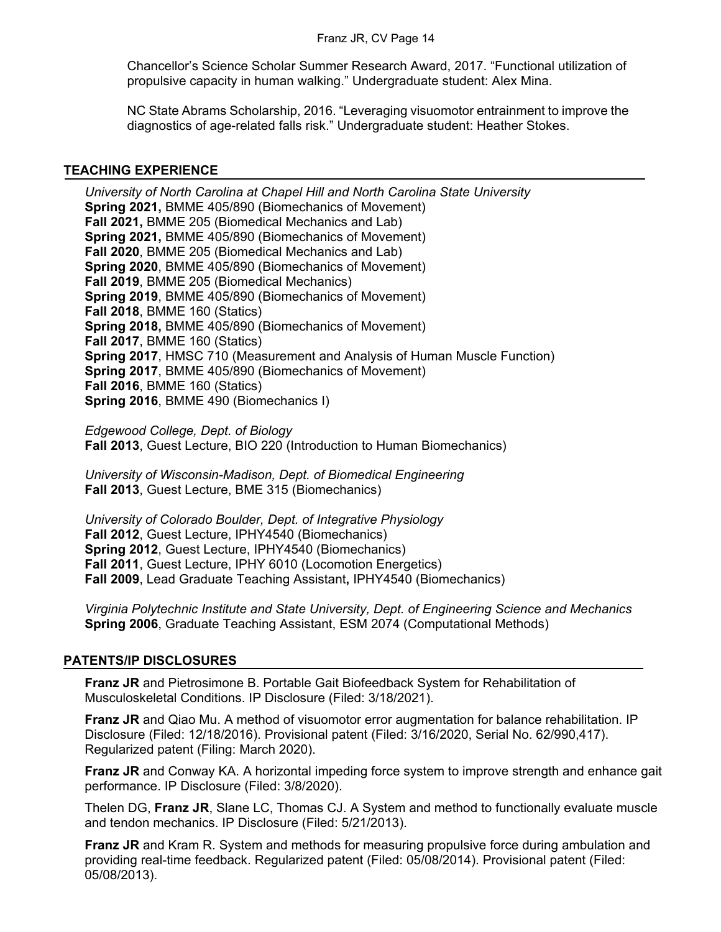Chancellor's Science Scholar Summer Research Award, 2017. "Functional utilization of propulsive capacity in human walking." Undergraduate student: Alex Mina.

NC State Abrams Scholarship, 2016. "Leveraging visuomotor entrainment to improve the diagnostics of age-related falls risk." Undergraduate student: Heather Stokes.

### **TEACHING EXPERIENCE**

*University of North Carolina at Chapel Hill and North Carolina State University* **Spring 2021,** BMME 405/890 (Biomechanics of Movement) **Fall 2021,** BMME 205 (Biomedical Mechanics and Lab) **Spring 2021,** BMME 405/890 (Biomechanics of Movement) **Fall 2020**, BMME 205 (Biomedical Mechanics and Lab) **Spring 2020**, BMME 405/890 (Biomechanics of Movement) **Fall 2019**, BMME 205 (Biomedical Mechanics) **Spring 2019**, BMME 405/890 (Biomechanics of Movement) **Fall 2018**, BMME 160 (Statics) **Spring 2018,** BMME 405/890 (Biomechanics of Movement) **Fall 2017**, BMME 160 (Statics) **Spring 2017**, HMSC 710 (Measurement and Analysis of Human Muscle Function) **Spring 2017**, BMME 405/890 (Biomechanics of Movement) **Fall 2016**, BMME 160 (Statics) **Spring 2016**, BMME 490 (Biomechanics I)

*Edgewood College, Dept. of Biology* **Fall 2013**, Guest Lecture, BIO 220 (Introduction to Human Biomechanics)

*University of Wisconsin-Madison, Dept. of Biomedical Engineering* **Fall 2013**, Guest Lecture, BME 315 (Biomechanics)

*University of Colorado Boulder, Dept. of Integrative Physiology* **Fall 2012**, Guest Lecture, IPHY4540 (Biomechanics) **Spring 2012**, Guest Lecture, IPHY4540 (Biomechanics) **Fall 2011**, Guest Lecture, IPHY 6010 (Locomotion Energetics) **Fall 2009**, Lead Graduate Teaching Assistant**,** IPHY4540 (Biomechanics)

*Virginia Polytechnic Institute and State University, Dept. of Engineering Science and Mechanics* **Spring 2006**, Graduate Teaching Assistant, ESM 2074 (Computational Methods)

# **PATENTS/IP DISCLOSURES**

**Franz JR** and Pietrosimone B. Portable Gait Biofeedback System for Rehabilitation of Musculoskeletal Conditions. IP Disclosure (Filed: 3/18/2021).

**Franz JR** and Qiao Mu. A method of visuomotor error augmentation for balance rehabilitation. IP Disclosure (Filed: 12/18/2016). Provisional patent (Filed: 3/16/2020, Serial No. 62/990,417). Regularized patent (Filing: March 2020).

**Franz JR** and Conway KA. A horizontal impeding force system to improve strength and enhance gait performance. IP Disclosure (Filed: 3/8/2020).

Thelen DG, **Franz JR**, Slane LC, Thomas CJ. A System and method to functionally evaluate muscle and tendon mechanics. IP Disclosure (Filed: 5/21/2013).

**Franz JR** and Kram R. System and methods for measuring propulsive force during ambulation and providing real-time feedback. Regularized patent (Filed: 05/08/2014). Provisional patent (Filed: 05/08/2013).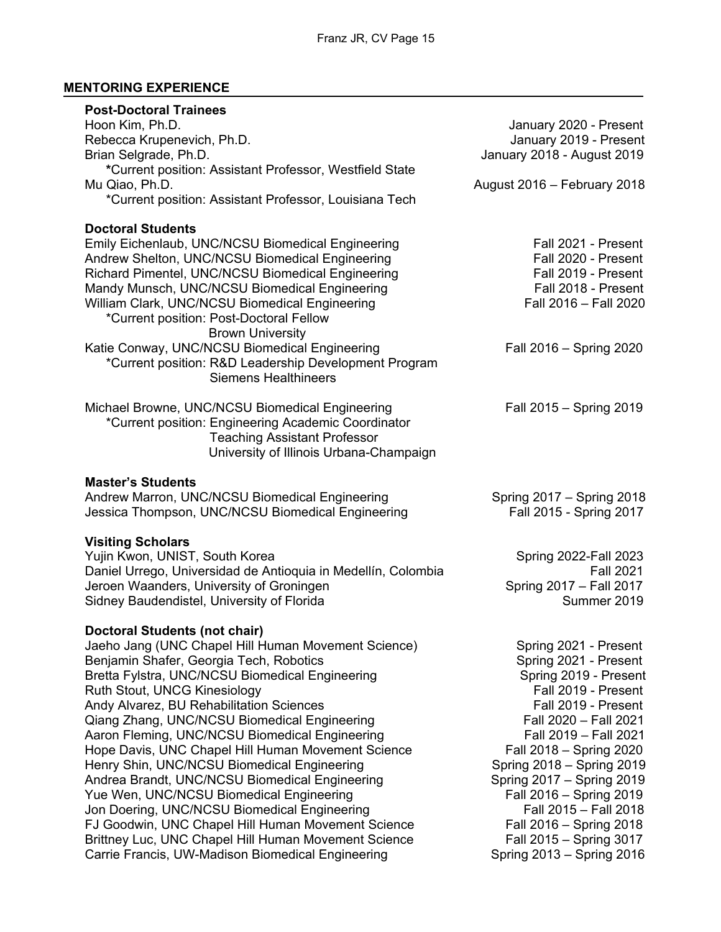# **MENTORING EXPERIENCE**

| <b>Post-Doctoral Trainees</b><br>Hoon Kim, Ph.D.<br>Rebecca Krupenevich, Ph.D.<br>Brian Selgrade, Ph.D.<br>*Current position: Assistant Professor, Westfield State<br>Mu Qiao, Ph.D.<br>*Current position: Assistant Professor, Louisiana Tech                                                                                                                                                                                                                                                                                                                                                                                                                                                                                                                                                | January 2020 - Present<br>January 2019 - Present<br>January 2018 - August 2019<br>August 2016 - February 2018                                                                                                                                                                                                                                                                                       |
|-----------------------------------------------------------------------------------------------------------------------------------------------------------------------------------------------------------------------------------------------------------------------------------------------------------------------------------------------------------------------------------------------------------------------------------------------------------------------------------------------------------------------------------------------------------------------------------------------------------------------------------------------------------------------------------------------------------------------------------------------------------------------------------------------|-----------------------------------------------------------------------------------------------------------------------------------------------------------------------------------------------------------------------------------------------------------------------------------------------------------------------------------------------------------------------------------------------------|
| <b>Doctoral Students</b><br>Emily Eichenlaub, UNC/NCSU Biomedical Engineering<br>Andrew Shelton, UNC/NCSU Biomedical Engineering<br>Richard Pimentel, UNC/NCSU Biomedical Engineering<br>Mandy Munsch, UNC/NCSU Biomedical Engineering<br>William Clark, UNC/NCSU Biomedical Engineering<br>*Current position: Post-Doctoral Fellow<br><b>Brown University</b><br>Katie Conway, UNC/NCSU Biomedical Engineering<br>*Current position: R&D Leadership Development Program<br><b>Siemens Healthineers</b>                                                                                                                                                                                                                                                                                       | Fall 2021 - Present<br>Fall 2020 - Present<br>Fall 2019 - Present<br>Fall 2018 - Present<br>Fall 2016 - Fall 2020<br>Fall 2016 - Spring 2020                                                                                                                                                                                                                                                        |
| Michael Browne, UNC/NCSU Biomedical Engineering<br>*Current position: Engineering Academic Coordinator<br><b>Teaching Assistant Professor</b><br>University of Illinois Urbana-Champaign                                                                                                                                                                                                                                                                                                                                                                                                                                                                                                                                                                                                      | Fall 2015 - Spring 2019                                                                                                                                                                                                                                                                                                                                                                             |
| <b>Master's Students</b><br>Andrew Marron, UNC/NCSU Biomedical Engineering<br>Jessica Thompson, UNC/NCSU Biomedical Engineering                                                                                                                                                                                                                                                                                                                                                                                                                                                                                                                                                                                                                                                               | Spring 2017 - Spring 2018<br>Fall 2015 - Spring 2017                                                                                                                                                                                                                                                                                                                                                |
| <b>Visiting Scholars</b><br>Yujin Kwon, UNIST, South Korea<br>Daniel Urrego, Universidad de Antioquia in Medellín, Colombia<br>Jeroen Waanders, University of Groningen<br>Sidney Baudendistel, University of Florida                                                                                                                                                                                                                                                                                                                                                                                                                                                                                                                                                                         | Spring 2022-Fall 2023<br><b>Fall 2021</b><br>Spring 2017 - Fall 2017<br>Summer 2019                                                                                                                                                                                                                                                                                                                 |
| <b>Doctoral Students (not chair)</b><br>Jaeho Jang (UNC Chapel Hill Human Movement Science)<br>Benjamin Shafer, Georgia Tech, Robotics<br>Bretta Fylstra, UNC/NCSU Biomedical Engineering<br>Ruth Stout, UNCG Kinesiology<br>Andy Alvarez, BU Rehabilitation Sciences<br>Qiang Zhang, UNC/NCSU Biomedical Engineering<br>Aaron Fleming, UNC/NCSU Biomedical Engineering<br>Hope Davis, UNC Chapel Hill Human Movement Science<br>Henry Shin, UNC/NCSU Biomedical Engineering<br>Andrea Brandt, UNC/NCSU Biomedical Engineering<br>Yue Wen, UNC/NCSU Biomedical Engineering<br>Jon Doering, UNC/NCSU Biomedical Engineering<br>FJ Goodwin, UNC Chapel Hill Human Movement Science<br>Brittney Luc, UNC Chapel Hill Human Movement Science<br>Carrie Francis, UW-Madison Biomedical Engineering | Spring 2021 - Present<br>Spring 2021 - Present<br>Spring 2019 - Present<br>Fall 2019 - Present<br>Fall 2019 - Present<br>Fall 2020 - Fall 2021<br>Fall 2019 - Fall 2021<br>Fall 2018 - Spring 2020<br>Spring 2018 - Spring 2019<br>Spring 2017 - Spring 2019<br>Fall 2016 - Spring 2019<br>Fall 2015 - Fall 2018<br>Fall 2016 - Spring 2018<br>Fall 2015 - Spring 3017<br>Spring 2013 - Spring 2016 |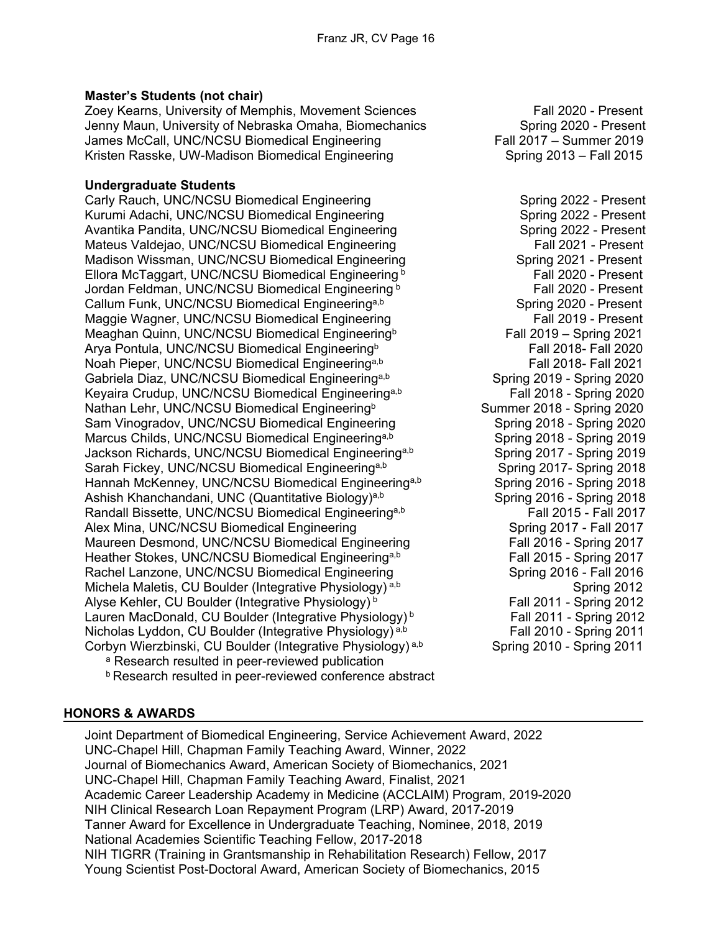# **Master's Students (not chair)**

Zoey Kearns, University of Memphis, Movement Sciences Fall 2020 - Present Jenny Maun, University of Nebraska Omaha, Biomechanics Spring 2020 - Present James McCall, UNC/NCSU Biomedical Engineering Fall 2017 – Summer 2019 Kristen Rasske, UW-Madison Biomedical Engineering Spring 2013 – Fall 2015

#### **Undergraduate Students**

Carly Rauch, UNC/NCSU Biomedical Engineering Spring 2022 - Present Kurumi Adachi, UNC/NCSU Biomedical Engineering Spring 2022 - Present Avantika Pandita, UNC/NCSU Biomedical Engineering Spring 2022 - Present Mateus Valdejao, UNC/NCSU Biomedical Engineering Fall 2021 - Present<br>Madison Wissman, UNC/NCSU Biomedical Engineering Fall 2021 - Present Madison Wissman, UNC/NCSU Biomedical Engineering Ellora McTaggart, UNC/NCSU Biomedical Engineering b Fall 2020 - Present Jordan Feldman, UNC/NCSU Biomedical Engineering b Fall 2020 - Present Callum Funk, UNC/NCSU Biomedical Engineering<sup>a,b</sup> Spring 2020 - Present Maggie Wagner, UNC/NCSU Biomedical Engineering Fall 2019 - Present Meaghan Quinn, UNC/NCSU Biomedical Engineering<sup>b</sup> Fall 2019 – Spring 2021<br>Arya Pontula, UNC/NCSU Biomedical Engineering<sup>b</sup> Fall 2018- Fall 2020 Arya Pontula, UNC/NCSU Biomedical Engineering<sup>b</sup> Noah Pieper, UNC/NCSU Biomedical Engineering<sup>a,b</sup> Fall 2018- Fall 2021 Gabriela Diaz, UNC/NCSU Biomedical Engineering<sup>a,b</sup> Spring 2019 - Spring 2020 Keyaira Crudup, UNC/NCSU Biomedical Engineering<sup>a,b</sup> Fall 2018 - Spring 2020 Nathan Lehr, UNC/NCSU Biomedical Engineering<sup>b</sup> Summer 2018 - Spring 2020 Sam Vinogradov, UNC/NCSU Biomedical Engineering Spring 2018 - Spring 2020 Marcus Childs, UNC/NCSU Biomedical Engineering<sup>a,b</sup> Spring 2018 - Spring 2019<br>Jackson Richards, UNC/NCSU Biomedical Engineering<sup>a,b</sup> Spring 2017 - Spring 2019 Jackson Richards, UNC/NCSU Biomedical Engineering<sup>a,b</sup> Sarah Fickey, UNC/NCSU Biomedical Engineering<sup>a,b</sup> Spring 2017- Spring 2018 Hannah McKenney, UNC/NCSU Biomedical Engineering<sup>a,b</sup> Spring 2016 - Spring 2018 Ashish Khanchandani, UNC (Quantitative Biology)<sup>a,b</sup> Spring 2016 - Spring 2018 Randall Bissette, UNC/NCSU Biomedical Engineering<sup>a,b</sup> Fall 2015 - Fall 2017 Alex Mina, UNC/NCSU Biomedical Engineering Spring 2017 - Fall 2017 Maureen Desmond, UNC/NCSU Biomedical Engineering Fall 2016 - Spring 2017 Heather Stokes, UNC/NCSU Biomedical Engineering<sup>a,b</sup> Fall 2015 - Spring 2017 Rachel Lanzone, UNC/NCSU Biomedical Engineering Spring 2016 - Fall 2016 Michela Maletis, CU Boulder (Integrative Physiology)<sup>a,b</sup> Spring 2012<br>Alyse Kehler, CU Boulder (Integrative Physiology)<sup>b</sup> Fall 2011 - Spring 2012 Alyse Kehler, CU Boulder (Integrative Physiology)<sup>b</sup> Lauren MacDonald, CU Boulder (Integrative Physiology)<sup>b</sup> Fall 2011 - Spring 2012 Nicholas Lyddon, CU Boulder (Integrative Physiology)<sup>a,b</sup> Fall 2010 - Spring 2011<br>Corbyn Wierzbinski, CU Boulder (Integrative Physiology)<sup>a,b</sup> Spring 2010 - Spring 2011 Corbyn Wierzbinski, CU Boulder (Integrative Physiology)<sup>a,b</sup>

<sup>a</sup> Research resulted in peer-reviewed publication

**b** Research resulted in peer-reviewed conference abstract

#### **HONORS & AWARDS**

Joint Department of Biomedical Engineering, Service Achievement Award, 2022 UNC-Chapel Hill, Chapman Family Teaching Award, Winner, 2022 Journal of Biomechanics Award, American Society of Biomechanics, 2021 UNC-Chapel Hill, Chapman Family Teaching Award, Finalist, 2021 Academic Career Leadership Academy in Medicine (ACCLAIM) Program, 2019-2020 NIH Clinical Research Loan Repayment Program (LRP) Award, 2017-2019 Tanner Award for Excellence in Undergraduate Teaching, Nominee, 2018, 2019 National Academies Scientific Teaching Fellow, 2017-2018 NIH TIGRR (Training in Grantsmanship in Rehabilitation Research) Fellow, 2017 Young Scientist Post-Doctoral Award, American Society of Biomechanics, 2015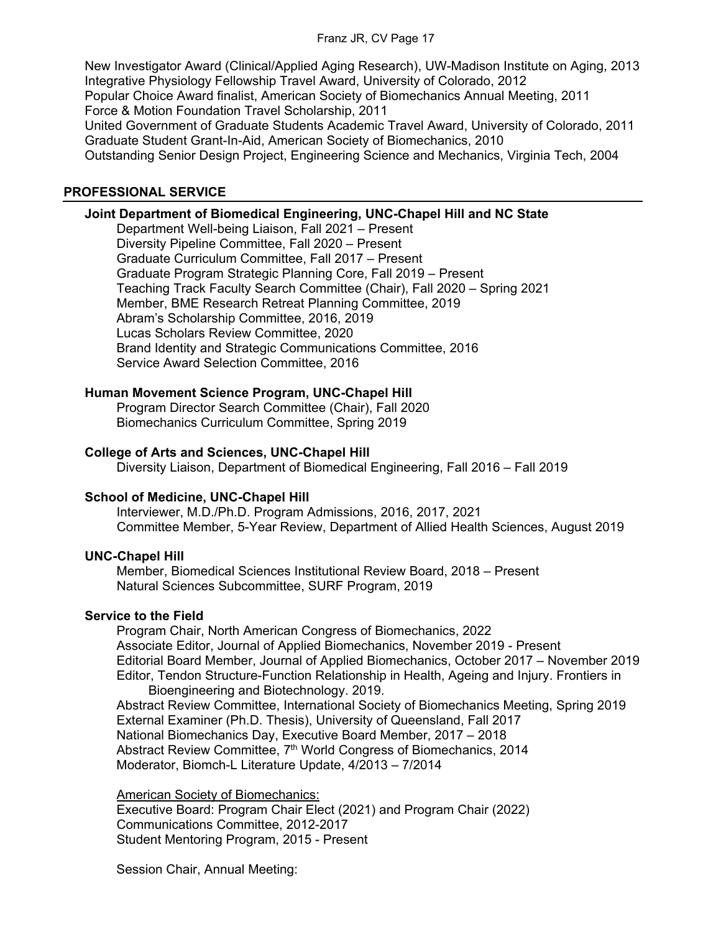New Investigator Award (Clinical/Applied Aging Research), UW-Madison Institute on Aging, 2013 Integrative Physiology Fellowship Travel Award, University of Colorado, 2012 Popular Choice Award finalist, American Society of Biomechanics Annual Meeting, 2011 Force & Motion Foundation Travel Scholarship, 2011 United Government of Graduate Students Academic Travel Award, University of Colorado, 2011 Graduate Student Grant-In-Aid, American Society of Biomechanics, 2010 Outstanding Senior Design Project, Engineering Science and Mechanics, Virginia Tech, 2004

#### **PROFESSIONAL SERVICE**

#### **Joint Department of Biomedical Engineering, UNC-Chapel Hill and NC State**

Department Well-being Liaison, Fall 2021 – Present Diversity Pipeline Committee, Fall 2020 – Present Graduate Curriculum Committee, Fall 2017 – Present Graduate Program Strategic Planning Core, Fall 2019 – Present Teaching Track Faculty Search Committee (Chair), Fall 2020 – Spring 2021 Member, BME Research Retreat Planning Committee, 2019 Abram's Scholarship Committee, 2016, 2019 Lucas Scholars Review Committee, 2020 Brand Identity and Strategic Communications Committee, 2016 Service Award Selection Committee, 2016

#### **Human Movement Science Program, UNC-Chapel Hill**

 Program Director Search Committee (Chair), Fall 2020 Biomechanics Curriculum Committee, Spring 2019

#### **College of Arts and Sciences, UNC-Chapel Hill**

Diversity Liaison, Department of Biomedical Engineering, Fall 2016 – Fall 2019

#### **School of Medicine, UNC-Chapel Hill**

Interviewer, M.D./Ph.D. Program Admissions, 2016, 2017, 2021 Committee Member, 5-Year Review, Department of Allied Health Sciences, August 2019

#### **UNC-Chapel Hill**

Member, Biomedical Sciences Institutional Review Board, 2018 – Present Natural Sciences Subcommittee, SURF Program, 2019

#### **Service to the Field**

Program Chair, North American Congress of Biomechanics, 2022 Associate Editor, Journal of Applied Biomechanics, November 2019 - Present Editorial Board Member, Journal of Applied Biomechanics, October 2017 – November 2019 Editor, Tendon Structure-Function Relationship in Health, Ageing and Injury. Frontiers in Bioengineering and Biotechnology. 2019.

Abstract Review Committee, International Society of Biomechanics Meeting, Spring 2019 External Examiner (Ph.D. Thesis), University of Queensland, Fall 2017 National Biomechanics Day, Executive Board Member, 2017 – 2018 Abstract Review Committee, 7<sup>th</sup> World Congress of Biomechanics, 2014 Moderator, Biomch-L Literature Update, 4/2013 – 7/2014

American Society of Biomechanics: Executive Board: Program Chair Elect (2021) and Program Chair (2022) Communications Committee, 2012-2017 Student Mentoring Program, 2015 - Present

Session Chair, Annual Meeting: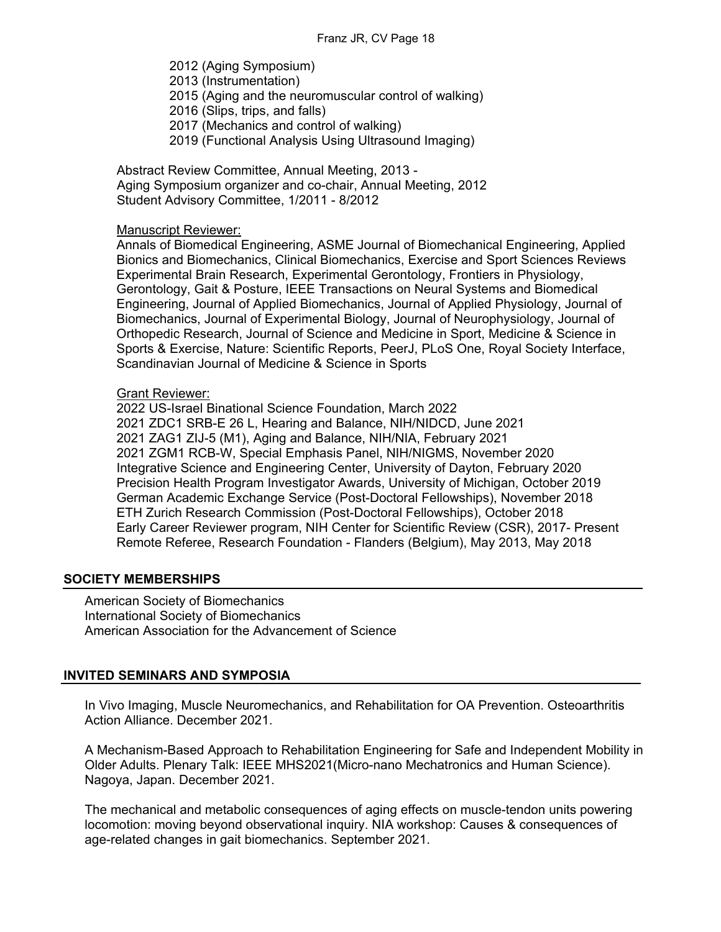2012 (Aging Symposium)

- 2013 (Instrumentation)
- 2015 (Aging and the neuromuscular control of walking)
- 2016 (Slips, trips, and falls)
- 2017 (Mechanics and control of walking)
- 2019 (Functional Analysis Using Ultrasound Imaging)

 Abstract Review Committee, Annual Meeting, 2013 - Aging Symposium organizer and co-chair, Annual Meeting, 2012 Student Advisory Committee, 1/2011 - 8/2012

#### Manuscript Reviewer:

Annals of Biomedical Engineering, ASME Journal of Biomechanical Engineering, Applied Bionics and Biomechanics, Clinical Biomechanics, Exercise and Sport Sciences Reviews Experimental Brain Research, Experimental Gerontology, Frontiers in Physiology, Gerontology, Gait & Posture, IEEE Transactions on Neural Systems and Biomedical Engineering, Journal of Applied Biomechanics, Journal of Applied Physiology, Journal of Biomechanics, Journal of Experimental Biology, Journal of Neurophysiology, Journal of Orthopedic Research, Journal of Science and Medicine in Sport, Medicine & Science in Sports & Exercise, Nature: Scientific Reports, PeerJ, PLoS One, Royal Society Interface, Scandinavian Journal of Medicine & Science in Sports

#### Grant Reviewer:

2022 US-Israel Binational Science Foundation, March 2022 2021 ZDC1 SRB-E 26 L, Hearing and Balance, NIH/NIDCD, June 2021 2021 ZAG1 ZIJ-5 (M1), Aging and Balance, NIH/NIA, February 2021 2021 ZGM1 RCB-W, Special Emphasis Panel, NIH/NIGMS, November 2020 Integrative Science and Engineering Center, University of Dayton, February 2020 Precision Health Program Investigator Awards, University of Michigan, October 2019 German Academic Exchange Service (Post-Doctoral Fellowships), November 2018 ETH Zurich Research Commission (Post-Doctoral Fellowships), October 2018 Early Career Reviewer program, NIH Center for Scientific Review (CSR), 2017- Present Remote Referee, Research Foundation - Flanders (Belgium), May 2013, May 2018

#### **SOCIETY MEMBERSHIPS**

American Society of Biomechanics International Society of Biomechanics American Association for the Advancement of Science

#### **INVITED SEMINARS AND SYMPOSIA**

In Vivo Imaging, Muscle Neuromechanics, and Rehabilitation for OA Prevention. Osteoarthritis Action Alliance. December 2021.

A Mechanism-Based Approach to Rehabilitation Engineering for Safe and Independent Mobility in Older Adults. Plenary Talk: IEEE MHS2021(Micro-nano Mechatronics and Human Science). Nagoya, Japan. December 2021.

The mechanical and metabolic consequences of aging effects on muscle-tendon units powering locomotion: moving beyond observational inquiry. NIA workshop: Causes & consequences of age-related changes in gait biomechanics. September 2021.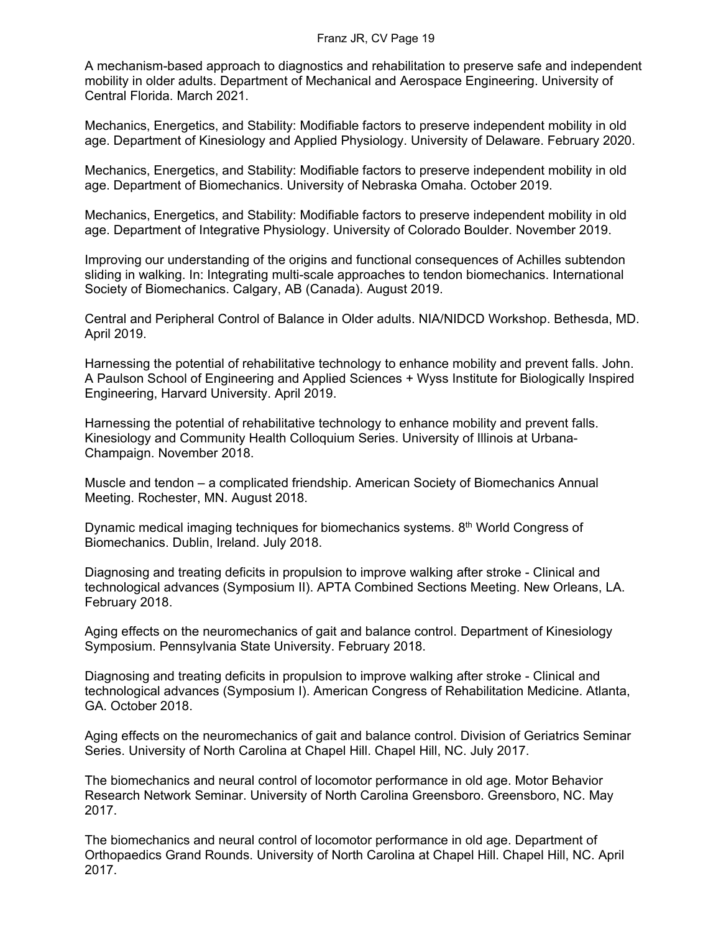A mechanism-based approach to diagnostics and rehabilitation to preserve safe and independent mobility in older adults. Department of Mechanical and Aerospace Engineering. University of Central Florida. March 2021.

Mechanics, Energetics, and Stability: Modifiable factors to preserve independent mobility in old age. Department of Kinesiology and Applied Physiology. University of Delaware. February 2020.

Mechanics, Energetics, and Stability: Modifiable factors to preserve independent mobility in old age. Department of Biomechanics. University of Nebraska Omaha. October 2019.

Mechanics, Energetics, and Stability: Modifiable factors to preserve independent mobility in old age. Department of Integrative Physiology. University of Colorado Boulder. November 2019.

Improving our understanding of the origins and functional consequences of Achilles subtendon sliding in walking. In: Integrating multi-scale approaches to tendon biomechanics. International Society of Biomechanics. Calgary, AB (Canada). August 2019.

Central and Peripheral Control of Balance in Older adults. NIA/NIDCD Workshop. Bethesda, MD. April 2019.

Harnessing the potential of rehabilitative technology to enhance mobility and prevent falls. John. A Paulson School of Engineering and Applied Sciences + Wyss Institute for Biologically Inspired Engineering, Harvard University. April 2019.

Harnessing the potential of rehabilitative technology to enhance mobility and prevent falls. Kinesiology and Community Health Colloquium Series. University of Illinois at Urbana-Champaign. November 2018.

Muscle and tendon – a complicated friendship. American Society of Biomechanics Annual Meeting. Rochester, MN. August 2018.

Dynamic medical imaging techniques for biomechanics systems. 8th World Congress of Biomechanics. Dublin, Ireland. July 2018.

Diagnosing and treating deficits in propulsion to improve walking after stroke - Clinical and technological advances (Symposium II). APTA Combined Sections Meeting. New Orleans, LA. February 2018.

Aging effects on the neuromechanics of gait and balance control. Department of Kinesiology Symposium. Pennsylvania State University. February 2018.

Diagnosing and treating deficits in propulsion to improve walking after stroke - Clinical and technological advances (Symposium I). American Congress of Rehabilitation Medicine. Atlanta, GA. October 2018.

Aging effects on the neuromechanics of gait and balance control. Division of Geriatrics Seminar Series. University of North Carolina at Chapel Hill. Chapel Hill, NC. July 2017.

The biomechanics and neural control of locomotor performance in old age. Motor Behavior Research Network Seminar. University of North Carolina Greensboro. Greensboro, NC. May 2017.

The biomechanics and neural control of locomotor performance in old age. Department of Orthopaedics Grand Rounds. University of North Carolina at Chapel Hill. Chapel Hill, NC. April 2017.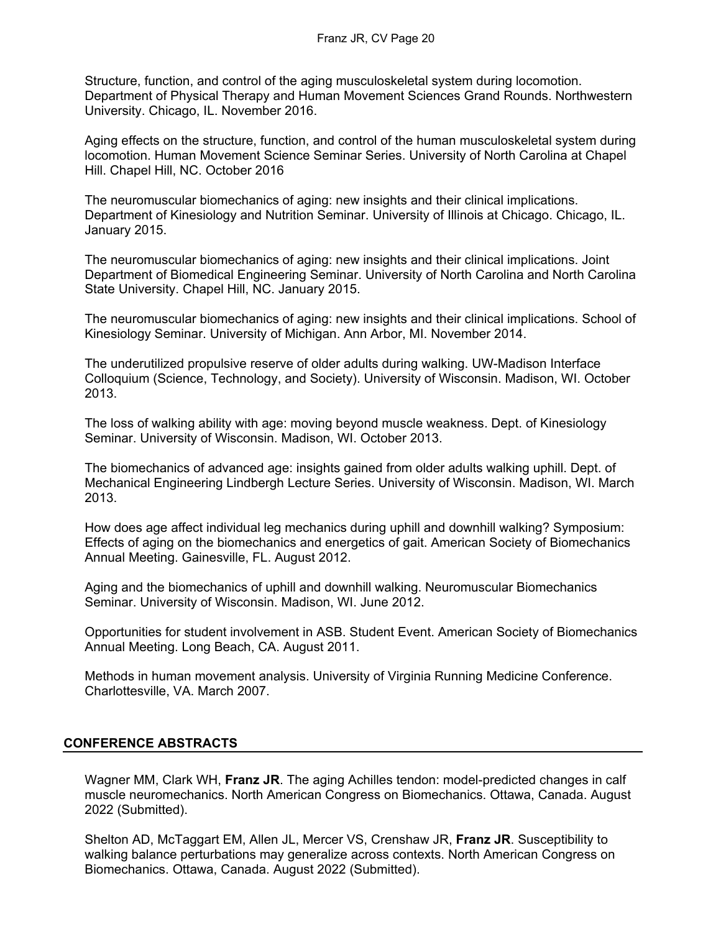Structure, function, and control of the aging musculoskeletal system during locomotion. Department of Physical Therapy and Human Movement Sciences Grand Rounds. Northwestern University. Chicago, IL. November 2016.

Aging effects on the structure, function, and control of the human musculoskeletal system during locomotion. Human Movement Science Seminar Series. University of North Carolina at Chapel Hill. Chapel Hill, NC. October 2016

The neuromuscular biomechanics of aging: new insights and their clinical implications. Department of Kinesiology and Nutrition Seminar. University of Illinois at Chicago. Chicago, IL. January 2015.

The neuromuscular biomechanics of aging: new insights and their clinical implications. Joint Department of Biomedical Engineering Seminar. University of North Carolina and North Carolina State University. Chapel Hill, NC. January 2015.

The neuromuscular biomechanics of aging: new insights and their clinical implications. School of Kinesiology Seminar. University of Michigan. Ann Arbor, MI. November 2014.

The underutilized propulsive reserve of older adults during walking. UW-Madison Interface Colloquium (Science, Technology, and Society). University of Wisconsin. Madison, WI. October 2013.

The loss of walking ability with age: moving beyond muscle weakness. Dept. of Kinesiology Seminar. University of Wisconsin. Madison, WI. October 2013.

The biomechanics of advanced age: insights gained from older adults walking uphill. Dept. of Mechanical Engineering Lindbergh Lecture Series. University of Wisconsin. Madison, WI. March 2013.

How does age affect individual leg mechanics during uphill and downhill walking? Symposium: Effects of aging on the biomechanics and energetics of gait. American Society of Biomechanics Annual Meeting. Gainesville, FL. August 2012.

Aging and the biomechanics of uphill and downhill walking. Neuromuscular Biomechanics Seminar. University of Wisconsin. Madison, WI. June 2012.

Opportunities for student involvement in ASB. Student Event. American Society of Biomechanics Annual Meeting. Long Beach, CA. August 2011.

Methods in human movement analysis. University of Virginia Running Medicine Conference. Charlottesville, VA. March 2007.

# **CONFERENCE ABSTRACTS**

Wagner MM, Clark WH, **Franz JR**. The aging Achilles tendon: model-predicted changes in calf muscle neuromechanics. North American Congress on Biomechanics. Ottawa, Canada. August 2022 (Submitted).

Shelton AD, McTaggart EM, Allen JL, Mercer VS, Crenshaw JR, **Franz JR**. Susceptibility to walking balance perturbations may generalize across contexts. North American Congress on Biomechanics. Ottawa, Canada. August 2022 (Submitted).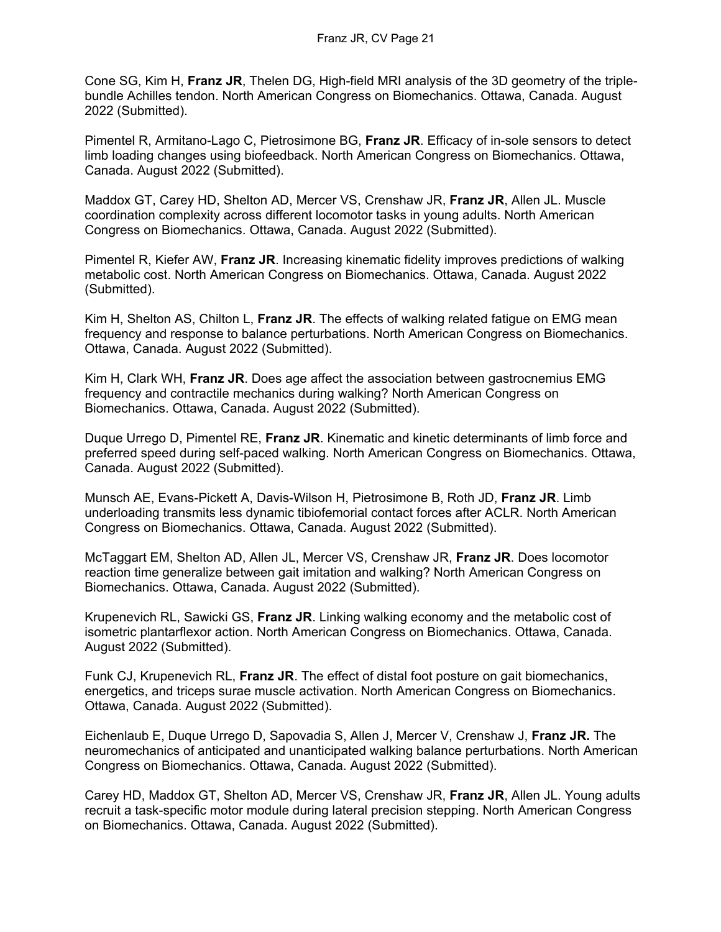Cone SG, Kim H, **Franz JR**, Thelen DG, High-field MRI analysis of the 3D geometry of the triplebundle Achilles tendon. North American Congress on Biomechanics. Ottawa, Canada. August 2022 (Submitted).

Pimentel R, Armitano-Lago C, Pietrosimone BG, **Franz JR**. Efficacy of in-sole sensors to detect limb loading changes using biofeedback. North American Congress on Biomechanics. Ottawa, Canada. August 2022 (Submitted).

Maddox GT, Carey HD, Shelton AD, Mercer VS, Crenshaw JR, **Franz JR**, Allen JL. Muscle coordination complexity across different locomotor tasks in young adults. North American Congress on Biomechanics. Ottawa, Canada. August 2022 (Submitted).

Pimentel R, Kiefer AW, **Franz JR**. Increasing kinematic fidelity improves predictions of walking metabolic cost. North American Congress on Biomechanics. Ottawa, Canada. August 2022 (Submitted).

Kim H, Shelton AS, Chilton L, **Franz JR**. The effects of walking related fatigue on EMG mean frequency and response to balance perturbations. North American Congress on Biomechanics. Ottawa, Canada. August 2022 (Submitted).

Kim H, Clark WH, **Franz JR**. Does age affect the association between gastrocnemius EMG frequency and contractile mechanics during walking? North American Congress on Biomechanics. Ottawa, Canada. August 2022 (Submitted).

Duque Urrego D, Pimentel RE, **Franz JR**. Kinematic and kinetic determinants of limb force and preferred speed during self-paced walking. North American Congress on Biomechanics. Ottawa, Canada. August 2022 (Submitted).

Munsch AE, Evans-Pickett A, Davis-Wilson H, Pietrosimone B, Roth JD, **Franz JR**. Limb underloading transmits less dynamic tibiofemorial contact forces after ACLR. North American Congress on Biomechanics. Ottawa, Canada. August 2022 (Submitted).

McTaggart EM, Shelton AD, Allen JL, Mercer VS, Crenshaw JR, **Franz JR**. Does locomotor reaction time generalize between gait imitation and walking? North American Congress on Biomechanics. Ottawa, Canada. August 2022 (Submitted).

Krupenevich RL, Sawicki GS, **Franz JR**. Linking walking economy and the metabolic cost of isometric plantarflexor action. North American Congress on Biomechanics. Ottawa, Canada. August 2022 (Submitted).

Funk CJ, Krupenevich RL, **Franz JR**. The effect of distal foot posture on gait biomechanics, energetics, and triceps surae muscle activation. North American Congress on Biomechanics. Ottawa, Canada. August 2022 (Submitted).

Eichenlaub E, Duque Urrego D, Sapovadia S, Allen J, Mercer V, Crenshaw J, **Franz JR.** The neuromechanics of anticipated and unanticipated walking balance perturbations. North American Congress on Biomechanics. Ottawa, Canada. August 2022 (Submitted).

Carey HD, Maddox GT, Shelton AD, Mercer VS, Crenshaw JR, **Franz JR**, Allen JL. Young adults recruit a task-specific motor module during lateral precision stepping. North American Congress on Biomechanics. Ottawa, Canada. August 2022 (Submitted).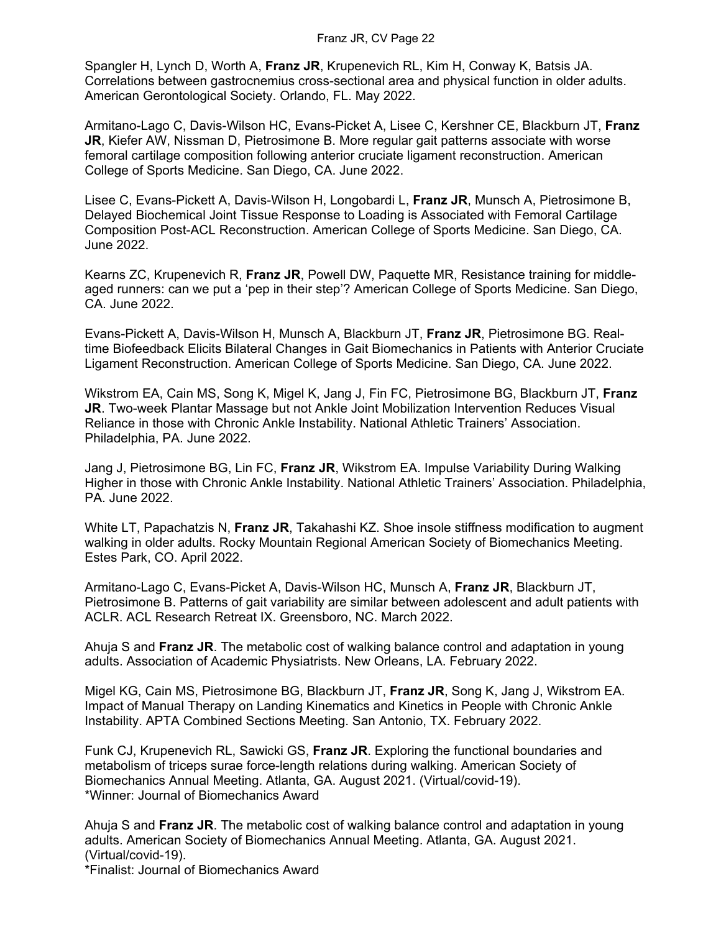Spangler H, Lynch D, Worth A, **Franz JR**, Krupenevich RL, Kim H, Conway K, Batsis JA. Correlations between gastrocnemius cross-sectional area and physical function in older adults. American Gerontological Society. Orlando, FL. May 2022.

Armitano-Lago C, Davis-Wilson HC, Evans-Picket A, Lisee C, Kershner CE, Blackburn JT, **Franz JR**, Kiefer AW, Nissman D, Pietrosimone B. More regular gait patterns associate with worse femoral cartilage composition following anterior cruciate ligament reconstruction. American College of Sports Medicine. San Diego, CA. June 2022.

Lisee C, Evans-Pickett A, Davis-Wilson H, Longobardi L, **Franz JR**, Munsch A, Pietrosimone B, Delayed Biochemical Joint Tissue Response to Loading is Associated with Femoral Cartilage Composition Post-ACL Reconstruction. American College of Sports Medicine. San Diego, CA. June 2022.

Kearns ZC, Krupenevich R, **Franz JR**, Powell DW, Paquette MR, Resistance training for middleaged runners: can we put a 'pep in their step'? American College of Sports Medicine. San Diego, CA. June 2022.

Evans-Pickett A, Davis-Wilson H, Munsch A, Blackburn JT, **Franz JR**, Pietrosimone BG. Realtime Biofeedback Elicits Bilateral Changes in Gait Biomechanics in Patients with Anterior Cruciate Ligament Reconstruction. American College of Sports Medicine. San Diego, CA. June 2022.

Wikstrom EA, Cain MS, Song K, Migel K, Jang J, Fin FC, Pietrosimone BG, Blackburn JT, **Franz JR**. Two-week Plantar Massage but not Ankle Joint Mobilization Intervention Reduces Visual Reliance in those with Chronic Ankle Instability. National Athletic Trainers' Association. Philadelphia, PA. June 2022.

Jang J, Pietrosimone BG, Lin FC, **Franz JR**, Wikstrom EA. Impulse Variability During Walking Higher in those with Chronic Ankle Instability. National Athletic Trainers' Association. Philadelphia, PA. June 2022.

White LT, Papachatzis N, **Franz JR**, Takahashi KZ. Shoe insole stiffness modification to augment walking in older adults. Rocky Mountain Regional American Society of Biomechanics Meeting. Estes Park, CO. April 2022.

Armitano-Lago C, Evans-Picket A, Davis-Wilson HC, Munsch A, **Franz JR**, Blackburn JT, Pietrosimone B. Patterns of gait variability are similar between adolescent and adult patients with ACLR. ACL Research Retreat IX. Greensboro, NC. March 2022.

Ahuja S and **Franz JR**. The metabolic cost of walking balance control and adaptation in young adults. Association of Academic Physiatrists. New Orleans, LA. February 2022.

Migel KG, Cain MS, Pietrosimone BG, Blackburn JT, **Franz JR**, Song K, Jang J, Wikstrom EA. Impact of Manual Therapy on Landing Kinematics and Kinetics in People with Chronic Ankle Instability. APTA Combined Sections Meeting. San Antonio, TX. February 2022.

Funk CJ, Krupenevich RL, Sawicki GS, **Franz JR**. Exploring the functional boundaries and metabolism of triceps surae force-length relations during walking. American Society of Biomechanics Annual Meeting. Atlanta, GA. August 2021. (Virtual/covid-19). \*Winner: Journal of Biomechanics Award

Ahuja S and **Franz JR**. The metabolic cost of walking balance control and adaptation in young adults. American Society of Biomechanics Annual Meeting. Atlanta, GA. August 2021. (Virtual/covid-19).

\*Finalist: Journal of Biomechanics Award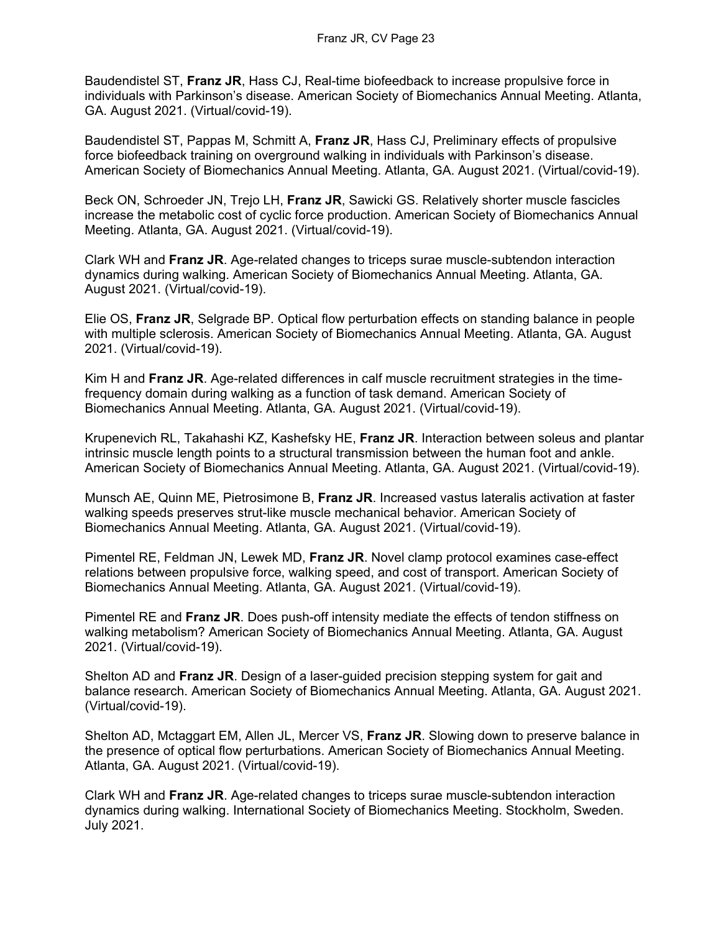Baudendistel ST, **Franz JR**, Hass CJ, Real-time biofeedback to increase propulsive force in individuals with Parkinson's disease. American Society of Biomechanics Annual Meeting. Atlanta, GA. August 2021. (Virtual/covid-19).

Baudendistel ST, Pappas M, Schmitt A, **Franz JR**, Hass CJ, Preliminary effects of propulsive force biofeedback training on overground walking in individuals with Parkinson's disease. American Society of Biomechanics Annual Meeting. Atlanta, GA. August 2021. (Virtual/covid-19).

Beck ON, Schroeder JN, Trejo LH, **Franz JR**, Sawicki GS. Relatively shorter muscle fascicles increase the metabolic cost of cyclic force production. American Society of Biomechanics Annual Meeting. Atlanta, GA. August 2021. (Virtual/covid-19).

Clark WH and **Franz JR**. Age-related changes to triceps surae muscle-subtendon interaction dynamics during walking. American Society of Biomechanics Annual Meeting. Atlanta, GA. August 2021. (Virtual/covid-19).

Elie OS, **Franz JR**, Selgrade BP. Optical flow perturbation effects on standing balance in people with multiple sclerosis. American Society of Biomechanics Annual Meeting. Atlanta, GA. August 2021. (Virtual/covid-19).

Kim H and **Franz JR**. Age-related differences in calf muscle recruitment strategies in the timefrequency domain during walking as a function of task demand. American Society of Biomechanics Annual Meeting. Atlanta, GA. August 2021. (Virtual/covid-19).

Krupenevich RL, Takahashi KZ, Kashefsky HE, **Franz JR**. Interaction between soleus and plantar intrinsic muscle length points to a structural transmission between the human foot and ankle. American Society of Biomechanics Annual Meeting. Atlanta, GA. August 2021. (Virtual/covid-19).

Munsch AE, Quinn ME, Pietrosimone B, **Franz JR**. Increased vastus lateralis activation at faster walking speeds preserves strut-like muscle mechanical behavior. American Society of Biomechanics Annual Meeting. Atlanta, GA. August 2021. (Virtual/covid-19).

Pimentel RE, Feldman JN, Lewek MD, **Franz JR**. Novel clamp protocol examines case-effect relations between propulsive force, walking speed, and cost of transport. American Society of Biomechanics Annual Meeting. Atlanta, GA. August 2021. (Virtual/covid-19).

Pimentel RE and **Franz JR**. Does push-off intensity mediate the effects of tendon stiffness on walking metabolism? American Society of Biomechanics Annual Meeting. Atlanta, GA. August 2021. (Virtual/covid-19).

Shelton AD and **Franz JR**. Design of a laser-guided precision stepping system for gait and balance research. American Society of Biomechanics Annual Meeting. Atlanta, GA. August 2021. (Virtual/covid-19).

Shelton AD, Mctaggart EM, Allen JL, Mercer VS, **Franz JR**. Slowing down to preserve balance in the presence of optical flow perturbations. American Society of Biomechanics Annual Meeting. Atlanta, GA. August 2021. (Virtual/covid-19).

Clark WH and **Franz JR**. Age-related changes to triceps surae muscle-subtendon interaction dynamics during walking. International Society of Biomechanics Meeting. Stockholm, Sweden. July 2021.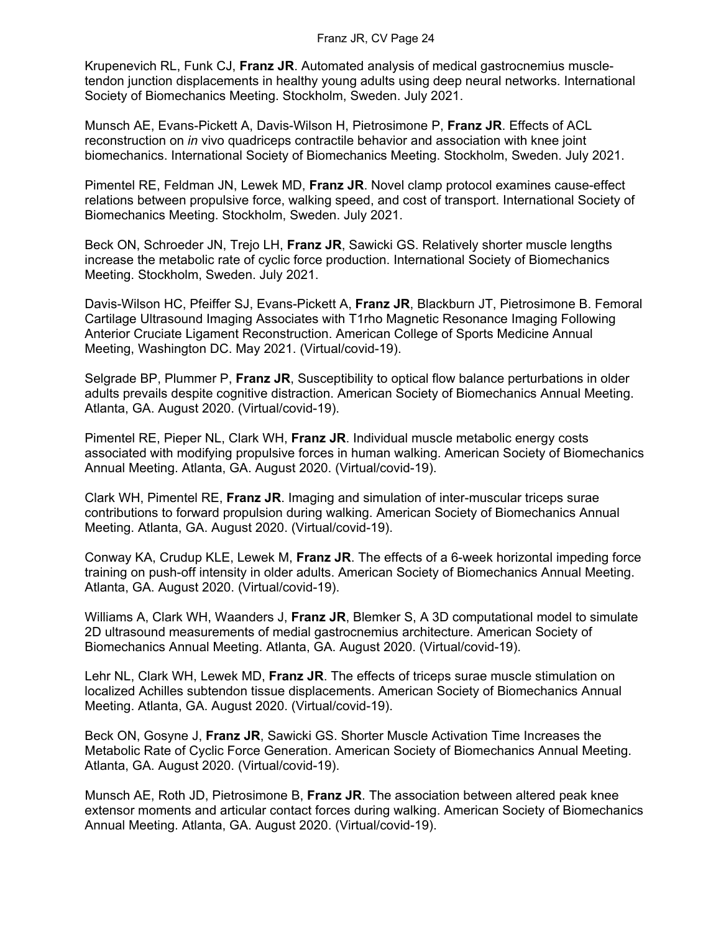Krupenevich RL, Funk CJ, **Franz JR**. Automated analysis of medical gastrocnemius muscletendon junction displacements in healthy young adults using deep neural networks. International Society of Biomechanics Meeting. Stockholm, Sweden. July 2021.

Munsch AE, Evans-Pickett A, Davis-Wilson H, Pietrosimone P, **Franz JR**. Effects of ACL reconstruction on *in* vivo quadriceps contractile behavior and association with knee joint biomechanics. International Society of Biomechanics Meeting. Stockholm, Sweden. July 2021.

Pimentel RE, Feldman JN, Lewek MD, **Franz JR**. Novel clamp protocol examines cause-effect relations between propulsive force, walking speed, and cost of transport. International Society of Biomechanics Meeting. Stockholm, Sweden. July 2021.

Beck ON, Schroeder JN, Trejo LH, **Franz JR**, Sawicki GS. Relatively shorter muscle lengths increase the metabolic rate of cyclic force production. International Society of Biomechanics Meeting. Stockholm, Sweden. July 2021.

Davis-Wilson HC, Pfeiffer SJ, Evans-Pickett A, **Franz JR**, Blackburn JT, Pietrosimone B. Femoral Cartilage Ultrasound Imaging Associates with T1rho Magnetic Resonance Imaging Following Anterior Cruciate Ligament Reconstruction. American College of Sports Medicine Annual Meeting, Washington DC. May 2021. (Virtual/covid-19).

Selgrade BP, Plummer P, **Franz JR**, Susceptibility to optical flow balance perturbations in older adults prevails despite cognitive distraction. American Society of Biomechanics Annual Meeting. Atlanta, GA. August 2020. (Virtual/covid-19).

Pimentel RE, Pieper NL, Clark WH, **Franz JR**. Individual muscle metabolic energy costs associated with modifying propulsive forces in human walking. American Society of Biomechanics Annual Meeting. Atlanta, GA. August 2020. (Virtual/covid-19).

Clark WH, Pimentel RE, **Franz JR**. Imaging and simulation of inter-muscular triceps surae contributions to forward propulsion during walking. American Society of Biomechanics Annual Meeting. Atlanta, GA. August 2020. (Virtual/covid-19).

Conway KA, Crudup KLE, Lewek M, **Franz JR**. The effects of a 6-week horizontal impeding force training on push-off intensity in older adults. American Society of Biomechanics Annual Meeting. Atlanta, GA. August 2020. (Virtual/covid-19).

Williams A, Clark WH, Waanders J, **Franz JR**, Blemker S, A 3D computational model to simulate 2D ultrasound measurements of medial gastrocnemius architecture. American Society of Biomechanics Annual Meeting. Atlanta, GA. August 2020. (Virtual/covid-19).

Lehr NL, Clark WH, Lewek MD, **Franz JR**. The effects of triceps surae muscle stimulation on localized Achilles subtendon tissue displacements. American Society of Biomechanics Annual Meeting. Atlanta, GA. August 2020. (Virtual/covid-19).

Beck ON, Gosyne J, **Franz JR**, Sawicki GS. Shorter Muscle Activation Time Increases the Metabolic Rate of Cyclic Force Generation. American Society of Biomechanics Annual Meeting. Atlanta, GA. August 2020. (Virtual/covid-19).

Munsch AE, Roth JD, Pietrosimone B, **Franz JR**. The association between altered peak knee extensor moments and articular contact forces during walking. American Society of Biomechanics Annual Meeting. Atlanta, GA. August 2020. (Virtual/covid-19).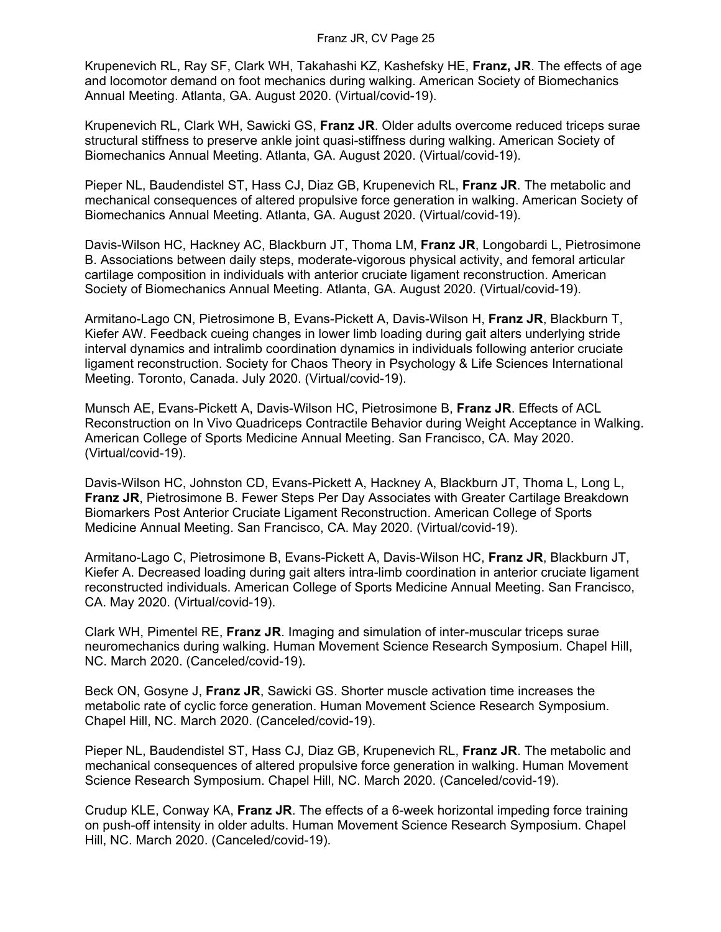Krupenevich RL, Ray SF, Clark WH, Takahashi KZ, Kashefsky HE, **Franz, JR**. The effects of age and locomotor demand on foot mechanics during walking. American Society of Biomechanics Annual Meeting. Atlanta, GA. August 2020. (Virtual/covid-19).

Krupenevich RL, Clark WH, Sawicki GS, **Franz JR**. Older adults overcome reduced triceps surae structural stiffness to preserve ankle joint quasi-stiffness during walking. American Society of Biomechanics Annual Meeting. Atlanta, GA. August 2020. (Virtual/covid-19).

Pieper NL, Baudendistel ST, Hass CJ, Diaz GB, Krupenevich RL, **Franz JR**. The metabolic and mechanical consequences of altered propulsive force generation in walking. American Society of Biomechanics Annual Meeting. Atlanta, GA. August 2020. (Virtual/covid-19).

Davis-Wilson HC, Hackney AC, Blackburn JT, Thoma LM, **Franz JR**, Longobardi L, Pietrosimone B. Associations between daily steps, moderate-vigorous physical activity, and femoral articular cartilage composition in individuals with anterior cruciate ligament reconstruction. American Society of Biomechanics Annual Meeting. Atlanta, GA. August 2020. (Virtual/covid-19).

Armitano-Lago CN, Pietrosimone B, Evans-Pickett A, Davis-Wilson H, **Franz JR**, Blackburn T, Kiefer AW. Feedback cueing changes in lower limb loading during gait alters underlying stride interval dynamics and intralimb coordination dynamics in individuals following anterior cruciate ligament reconstruction. Society for Chaos Theory in Psychology & Life Sciences International Meeting. Toronto, Canada. July 2020. (Virtual/covid-19).

Munsch AE, Evans-Pickett A, Davis-Wilson HC, Pietrosimone B, **Franz JR**. Effects of ACL Reconstruction on In Vivo Quadriceps Contractile Behavior during Weight Acceptance in Walking. American College of Sports Medicine Annual Meeting. San Francisco, CA. May 2020. (Virtual/covid-19).

Davis-Wilson HC, Johnston CD, Evans-Pickett A, Hackney A, Blackburn JT, Thoma L, Long L, **Franz JR**, Pietrosimone B. Fewer Steps Per Day Associates with Greater Cartilage Breakdown Biomarkers Post Anterior Cruciate Ligament Reconstruction. American College of Sports Medicine Annual Meeting. San Francisco, CA. May 2020. (Virtual/covid-19).

Armitano-Lago C, Pietrosimone B, Evans-Pickett A, Davis-Wilson HC, **Franz JR**, Blackburn JT, Kiefer A. Decreased loading during gait alters intra-limb coordination in anterior cruciate ligament reconstructed individuals. American College of Sports Medicine Annual Meeting. San Francisco, CA. May 2020. (Virtual/covid-19).

Clark WH, Pimentel RE, **Franz JR**. Imaging and simulation of inter-muscular triceps surae neuromechanics during walking. Human Movement Science Research Symposium. Chapel Hill, NC. March 2020. (Canceled/covid-19).

Beck ON, Gosyne J, **Franz JR**, Sawicki GS. Shorter muscle activation time increases the metabolic rate of cyclic force generation. Human Movement Science Research Symposium. Chapel Hill, NC. March 2020. (Canceled/covid-19).

Pieper NL, Baudendistel ST, Hass CJ, Diaz GB, Krupenevich RL, **Franz JR**. The metabolic and mechanical consequences of altered propulsive force generation in walking. Human Movement Science Research Symposium. Chapel Hill, NC. March 2020. (Canceled/covid-19).

Crudup KLE, Conway KA, **Franz JR**. The effects of a 6-week horizontal impeding force training on push-off intensity in older adults. Human Movement Science Research Symposium. Chapel Hill, NC. March 2020. (Canceled/covid-19).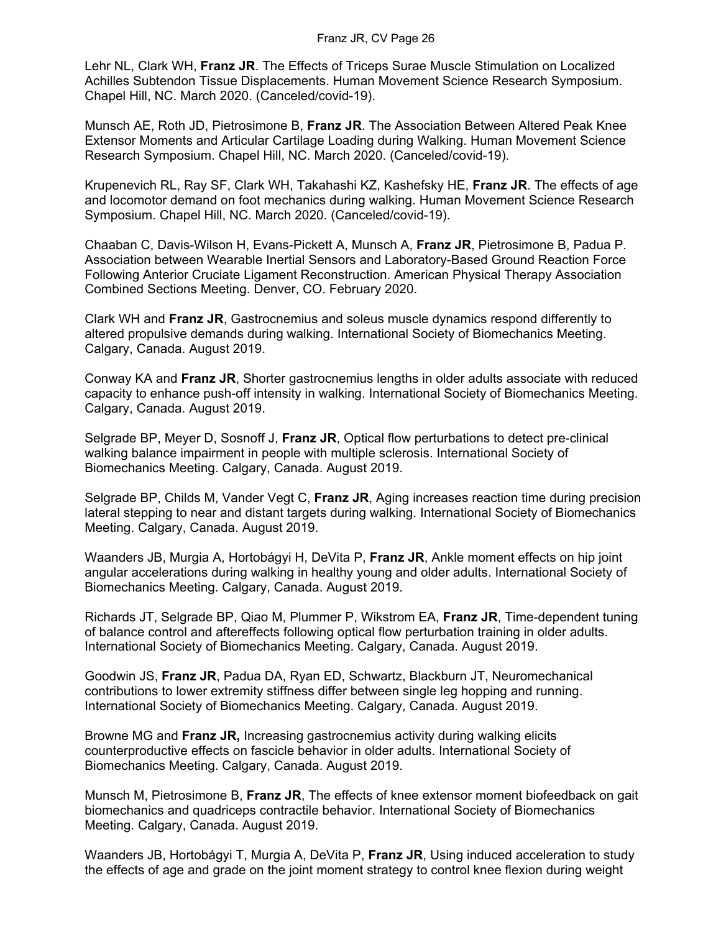Lehr NL, Clark WH, **Franz JR**. The Effects of Triceps Surae Muscle Stimulation on Localized Achilles Subtendon Tissue Displacements. Human Movement Science Research Symposium. Chapel Hill, NC. March 2020. (Canceled/covid-19).

Munsch AE, Roth JD, Pietrosimone B, **Franz JR**. The Association Between Altered Peak Knee Extensor Moments and Articular Cartilage Loading during Walking. Human Movement Science Research Symposium. Chapel Hill, NC. March 2020. (Canceled/covid-19).

Krupenevich RL, Ray SF, Clark WH, Takahashi KZ, Kashefsky HE, **Franz JR**. The effects of age and locomotor demand on foot mechanics during walking. Human Movement Science Research Symposium. Chapel Hill, NC. March 2020. (Canceled/covid-19).

Chaaban C, Davis-Wilson H, Evans-Pickett A, Munsch A, **Franz JR**, Pietrosimone B, Padua P. Association between Wearable Inertial Sensors and Laboratory-Based Ground Reaction Force Following Anterior Cruciate Ligament Reconstruction. American Physical Therapy Association Combined Sections Meeting. Denver, CO. February 2020.

Clark WH and **Franz JR**, Gastrocnemius and soleus muscle dynamics respond differently to altered propulsive demands during walking. International Society of Biomechanics Meeting. Calgary, Canada. August 2019.

Conway KA and **Franz JR**, Shorter gastrocnemius lengths in older adults associate with reduced capacity to enhance push-off intensity in walking. International Society of Biomechanics Meeting. Calgary, Canada. August 2019.

Selgrade BP, Meyer D, Sosnoff J, **Franz JR**, Optical flow perturbations to detect pre-clinical walking balance impairment in people with multiple sclerosis. International Society of Biomechanics Meeting. Calgary, Canada. August 2019.

Selgrade BP, Childs M, Vander Vegt C, **Franz JR**, Aging increases reaction time during precision lateral stepping to near and distant targets during walking. International Society of Biomechanics Meeting. Calgary, Canada. August 2019.

Waanders JB, Murgia A, Hortobágyi H, DeVita P, **Franz JR**, Ankle moment effects on hip joint angular accelerations during walking in healthy young and older adults. International Society of Biomechanics Meeting. Calgary, Canada. August 2019.

Richards JT, Selgrade BP, Qiao M, Plummer P, Wikstrom EA, **Franz JR**, Time-dependent tuning of balance control and aftereffects following optical flow perturbation training in older adults. International Society of Biomechanics Meeting. Calgary, Canada. August 2019.

Goodwin JS, **Franz JR**, Padua DA, Ryan ED, Schwartz, Blackburn JT, Neuromechanical contributions to lower extremity stiffness differ between single leg hopping and running. International Society of Biomechanics Meeting. Calgary, Canada. August 2019.

Browne MG and **Franz JR,** Increasing gastrocnemius activity during walking elicits counterproductive effects on fascicle behavior in older adults. International Society of Biomechanics Meeting. Calgary, Canada. August 2019.

Munsch M, Pietrosimone B, **Franz JR**, The effects of knee extensor moment biofeedback on gait biomechanics and quadriceps contractile behavior. International Society of Biomechanics Meeting. Calgary, Canada. August 2019.

Waanders JB, Hortobágyi T, Murgia A, DeVita P, **Franz JR**, Using induced acceleration to study the effects of age and grade on the joint moment strategy to control knee flexion during weight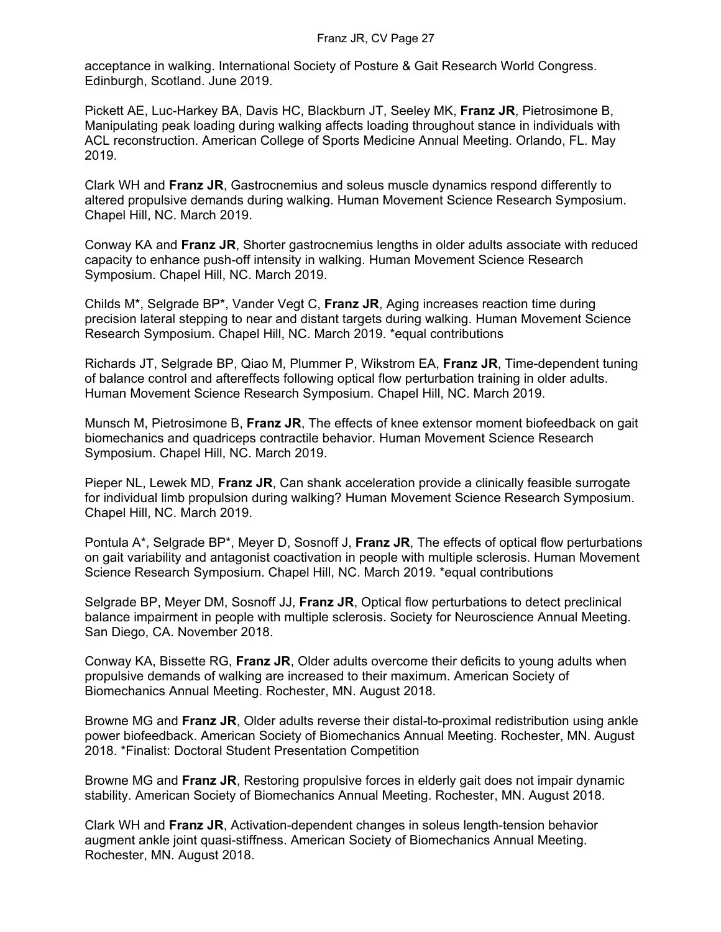acceptance in walking. International Society of Posture & Gait Research World Congress. Edinburgh, Scotland. June 2019.

Pickett AE, Luc-Harkey BA, Davis HC, Blackburn JT, Seeley MK, **Franz JR**, Pietrosimone B, Manipulating peak loading during walking affects loading throughout stance in individuals with ACL reconstruction. American College of Sports Medicine Annual Meeting. Orlando, FL. May 2019.

Clark WH and **Franz JR**, Gastrocnemius and soleus muscle dynamics respond differently to altered propulsive demands during walking. Human Movement Science Research Symposium. Chapel Hill, NC. March 2019.

Conway KA and **Franz JR**, Shorter gastrocnemius lengths in older adults associate with reduced capacity to enhance push-off intensity in walking. Human Movement Science Research Symposium. Chapel Hill, NC. March 2019.

Childs M\*, Selgrade BP\*, Vander Vegt C, **Franz JR**, Aging increases reaction time during precision lateral stepping to near and distant targets during walking. Human Movement Science Research Symposium. Chapel Hill, NC. March 2019. \*equal contributions

Richards JT, Selgrade BP, Qiao M, Plummer P, Wikstrom EA, **Franz JR**, Time-dependent tuning of balance control and aftereffects following optical flow perturbation training in older adults. Human Movement Science Research Symposium. Chapel Hill, NC. March 2019.

Munsch M, Pietrosimone B, **Franz JR**, The effects of knee extensor moment biofeedback on gait biomechanics and quadriceps contractile behavior. Human Movement Science Research Symposium. Chapel Hill, NC. March 2019.

Pieper NL, Lewek MD, **Franz JR**, Can shank acceleration provide a clinically feasible surrogate for individual limb propulsion during walking? Human Movement Science Research Symposium. Chapel Hill, NC. March 2019.

Pontula A\*, Selgrade BP\*, Meyer D, Sosnoff J, **Franz JR**, The effects of optical flow perturbations on gait variability and antagonist coactivation in people with multiple sclerosis. Human Movement Science Research Symposium. Chapel Hill, NC. March 2019. \*equal contributions

Selgrade BP, Meyer DM, Sosnoff JJ, **Franz JR**, Optical flow perturbations to detect preclinical balance impairment in people with multiple sclerosis. Society for Neuroscience Annual Meeting. San Diego, CA. November 2018.

Conway KA, Bissette RG, **Franz JR**, Older adults overcome their deficits to young adults when propulsive demands of walking are increased to their maximum. American Society of Biomechanics Annual Meeting. Rochester, MN. August 2018.

Browne MG and **Franz JR**, Older adults reverse their distal-to-proximal redistribution using ankle power biofeedback. American Society of Biomechanics Annual Meeting. Rochester, MN. August 2018. \*Finalist: Doctoral Student Presentation Competition

Browne MG and **Franz JR**, Restoring propulsive forces in elderly gait does not impair dynamic stability. American Society of Biomechanics Annual Meeting. Rochester, MN. August 2018.

Clark WH and **Franz JR**, Activation-dependent changes in soleus length-tension behavior augment ankle joint quasi-stiffness. American Society of Biomechanics Annual Meeting. Rochester, MN. August 2018.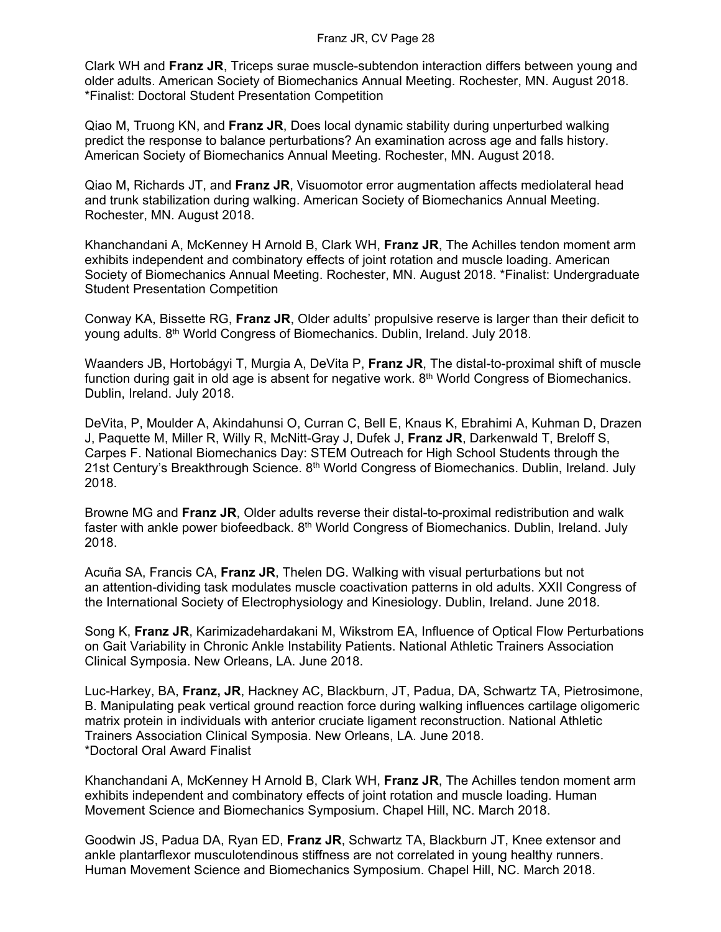Clark WH and **Franz JR**, Triceps surae muscle-subtendon interaction differs between young and older adults. American Society of Biomechanics Annual Meeting. Rochester, MN. August 2018. \*Finalist: Doctoral Student Presentation Competition

Qiao M, Truong KN, and **Franz JR**, Does local dynamic stability during unperturbed walking predict the response to balance perturbations? An examination across age and falls history. American Society of Biomechanics Annual Meeting. Rochester, MN. August 2018.

Qiao M, Richards JT, and **Franz JR**, Visuomotor error augmentation affects mediolateral head and trunk stabilization during walking. American Society of Biomechanics Annual Meeting. Rochester, MN. August 2018.

Khanchandani A, McKenney H Arnold B, Clark WH, **Franz JR**, The Achilles tendon moment arm exhibits independent and combinatory effects of joint rotation and muscle loading. American Society of Biomechanics Annual Meeting. Rochester, MN. August 2018. \*Finalist: Undergraduate Student Presentation Competition

Conway KA, Bissette RG, **Franz JR**, Older adults' propulsive reserve is larger than their deficit to young adults. 8th World Congress of Biomechanics. Dublin, Ireland. July 2018.

Waanders JB, Hortobágyi T, Murgia A, DeVita P, **Franz JR**, The distal-to-proximal shift of muscle function during gait in old age is absent for negative work.  $8<sup>th</sup>$  World Congress of Biomechanics. Dublin, Ireland. July 2018.

DeVita, P, Moulder A, Akindahunsi O, Curran C, Bell E, Knaus K, Ebrahimi A, Kuhman D, Drazen J, Paquette M, Miller R, Willy R, McNitt-Gray J, Dufek J, **Franz JR**, Darkenwald T, Breloff S, Carpes F. National Biomechanics Day: STEM Outreach for High School Students through the 21st Century's Breakthrough Science.  $8<sup>th</sup>$  World Congress of Biomechanics. Dublin, Ireland. July 2018.

Browne MG and **Franz JR**, Older adults reverse their distal-to-proximal redistribution and walk faster with ankle power biofeedback. 8<sup>th</sup> World Congress of Biomechanics. Dublin, Ireland. July 2018.

Acuña SA, Francis CA, **Franz JR**, Thelen DG. Walking with visual perturbations but not an attention-dividing task modulates muscle coactivation patterns in old adults. XXII Congress of the International Society of Electrophysiology and Kinesiology. Dublin, Ireland. June 2018.

Song K, **Franz JR**, Karimizadehardakani M, Wikstrom EA, Influence of Optical Flow Perturbations on Gait Variability in Chronic Ankle Instability Patients. National Athletic Trainers Association Clinical Symposia. New Orleans, LA. June 2018.

Luc-Harkey, BA, **Franz, JR**, Hackney AC, Blackburn, JT, Padua, DA, Schwartz TA, Pietrosimone, B. Manipulating peak vertical ground reaction force during walking influences cartilage oligomeric matrix protein in individuals with anterior cruciate ligament reconstruction. National Athletic Trainers Association Clinical Symposia. New Orleans, LA. June 2018. \*Doctoral Oral Award Finalist

Khanchandani A, McKenney H Arnold B, Clark WH, **Franz JR**, The Achilles tendon moment arm exhibits independent and combinatory effects of joint rotation and muscle loading. Human Movement Science and Biomechanics Symposium. Chapel Hill, NC. March 2018.

Goodwin JS, Padua DA, Ryan ED, **Franz JR**, Schwartz TA, Blackburn JT, Knee extensor and ankle plantarflexor musculotendinous stiffness are not correlated in young healthy runners. Human Movement Science and Biomechanics Symposium. Chapel Hill, NC. March 2018.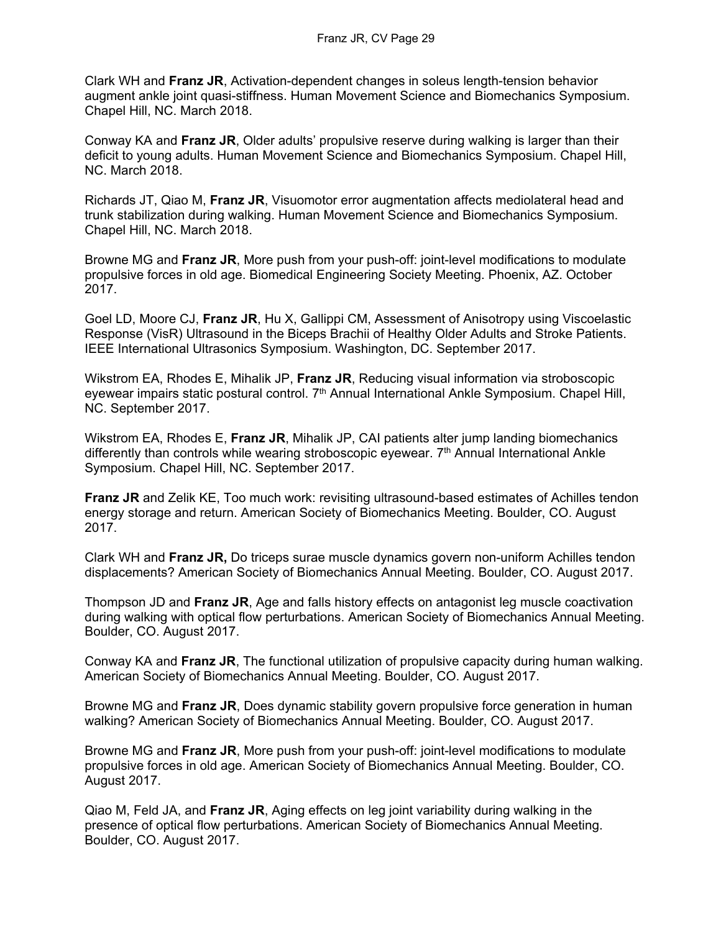Clark WH and **Franz JR**, Activation-dependent changes in soleus length-tension behavior augment ankle joint quasi-stiffness. Human Movement Science and Biomechanics Symposium. Chapel Hill, NC. March 2018.

Conway KA and **Franz JR**, Older adults' propulsive reserve during walking is larger than their deficit to young adults. Human Movement Science and Biomechanics Symposium. Chapel Hill, NC. March 2018.

Richards JT, Qiao M, **Franz JR**, Visuomotor error augmentation affects mediolateral head and trunk stabilization during walking. Human Movement Science and Biomechanics Symposium. Chapel Hill, NC. March 2018.

Browne MG and **Franz JR**, More push from your push-off: joint-level modifications to modulate propulsive forces in old age. Biomedical Engineering Society Meeting. Phoenix, AZ. October 2017.

Goel LD, Moore CJ, **Franz JR**, Hu X, Gallippi CM, Assessment of Anisotropy using Viscoelastic Response (VisR) Ultrasound in the Biceps Brachii of Healthy Older Adults and Stroke Patients. IEEE International Ultrasonics Symposium. Washington, DC. September 2017.

Wikstrom EA, Rhodes E, Mihalik JP, **Franz JR**, Reducing visual information via stroboscopic eyewear impairs static postural control.  $7<sup>th</sup>$  Annual International Ankle Symposium. Chapel Hill, NC. September 2017.

Wikstrom EA, Rhodes E, **Franz JR**, Mihalik JP, CAI patients alter jump landing biomechanics differently than controls while wearing stroboscopic eyewear. 7<sup>th</sup> Annual International Ankle Symposium. Chapel Hill, NC. September 2017.

**Franz JR** and Zelik KE, Too much work: revisiting ultrasound-based estimates of Achilles tendon energy storage and return. American Society of Biomechanics Meeting. Boulder, CO. August 2017.

Clark WH and **Franz JR,** Do triceps surae muscle dynamics govern non-uniform Achilles tendon displacements? American Society of Biomechanics Annual Meeting. Boulder, CO. August 2017.

Thompson JD and **Franz JR**, Age and falls history effects on antagonist leg muscle coactivation during walking with optical flow perturbations. American Society of Biomechanics Annual Meeting. Boulder, CO. August 2017.

Conway KA and **Franz JR**, The functional utilization of propulsive capacity during human walking. American Society of Biomechanics Annual Meeting. Boulder, CO. August 2017.

Browne MG and **Franz JR**, Does dynamic stability govern propulsive force generation in human walking? American Society of Biomechanics Annual Meeting. Boulder, CO. August 2017.

Browne MG and **Franz JR**, More push from your push-off: joint-level modifications to modulate propulsive forces in old age. American Society of Biomechanics Annual Meeting. Boulder, CO. August 2017.

Qiao M, Feld JA, and **Franz JR**, Aging effects on leg joint variability during walking in the presence of optical flow perturbations. American Society of Biomechanics Annual Meeting. Boulder, CO. August 2017.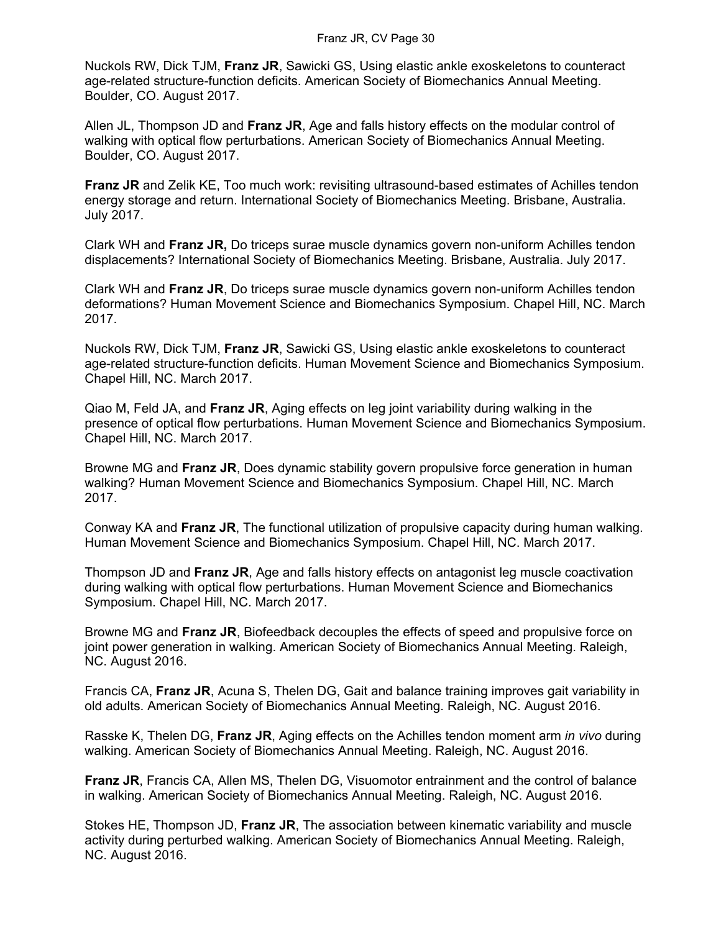Nuckols RW, Dick TJM, **Franz JR**, Sawicki GS, Using elastic ankle exoskeletons to counteract age-related structure-function deficits. American Society of Biomechanics Annual Meeting. Boulder, CO. August 2017.

Allen JL, Thompson JD and **Franz JR**, Age and falls history effects on the modular control of walking with optical flow perturbations. American Society of Biomechanics Annual Meeting. Boulder, CO. August 2017.

**Franz JR** and Zelik KE, Too much work: revisiting ultrasound-based estimates of Achilles tendon energy storage and return. International Society of Biomechanics Meeting. Brisbane, Australia. July 2017.

Clark WH and **Franz JR,** Do triceps surae muscle dynamics govern non-uniform Achilles tendon displacements? International Society of Biomechanics Meeting. Brisbane, Australia. July 2017.

Clark WH and **Franz JR**, Do triceps surae muscle dynamics govern non-uniform Achilles tendon deformations? Human Movement Science and Biomechanics Symposium. Chapel Hill, NC. March 2017.

Nuckols RW, Dick TJM, **Franz JR**, Sawicki GS, Using elastic ankle exoskeletons to counteract age-related structure-function deficits. Human Movement Science and Biomechanics Symposium. Chapel Hill, NC. March 2017.

Qiao M, Feld JA, and **Franz JR**, Aging effects on leg joint variability during walking in the presence of optical flow perturbations. Human Movement Science and Biomechanics Symposium. Chapel Hill, NC. March 2017.

Browne MG and **Franz JR**, Does dynamic stability govern propulsive force generation in human walking? Human Movement Science and Biomechanics Symposium. Chapel Hill, NC. March 2017.

Conway KA and **Franz JR**, The functional utilization of propulsive capacity during human walking. Human Movement Science and Biomechanics Symposium. Chapel Hill, NC. March 2017.

Thompson JD and **Franz JR**, Age and falls history effects on antagonist leg muscle coactivation during walking with optical flow perturbations. Human Movement Science and Biomechanics Symposium. Chapel Hill, NC. March 2017.

Browne MG and **Franz JR**, Biofeedback decouples the effects of speed and propulsive force on joint power generation in walking. American Society of Biomechanics Annual Meeting. Raleigh, NC. August 2016.

Francis CA, **Franz JR**, Acuna S, Thelen DG, Gait and balance training improves gait variability in old adults. American Society of Biomechanics Annual Meeting. Raleigh, NC. August 2016.

Rasske K, Thelen DG, **Franz JR**, Aging effects on the Achilles tendon moment arm *in vivo* during walking. American Society of Biomechanics Annual Meeting. Raleigh, NC. August 2016.

**Franz JR**, Francis CA, Allen MS, Thelen DG, Visuomotor entrainment and the control of balance in walking. American Society of Biomechanics Annual Meeting. Raleigh, NC. August 2016.

Stokes HE, Thompson JD, **Franz JR**, The association between kinematic variability and muscle activity during perturbed walking. American Society of Biomechanics Annual Meeting. Raleigh, NC. August 2016.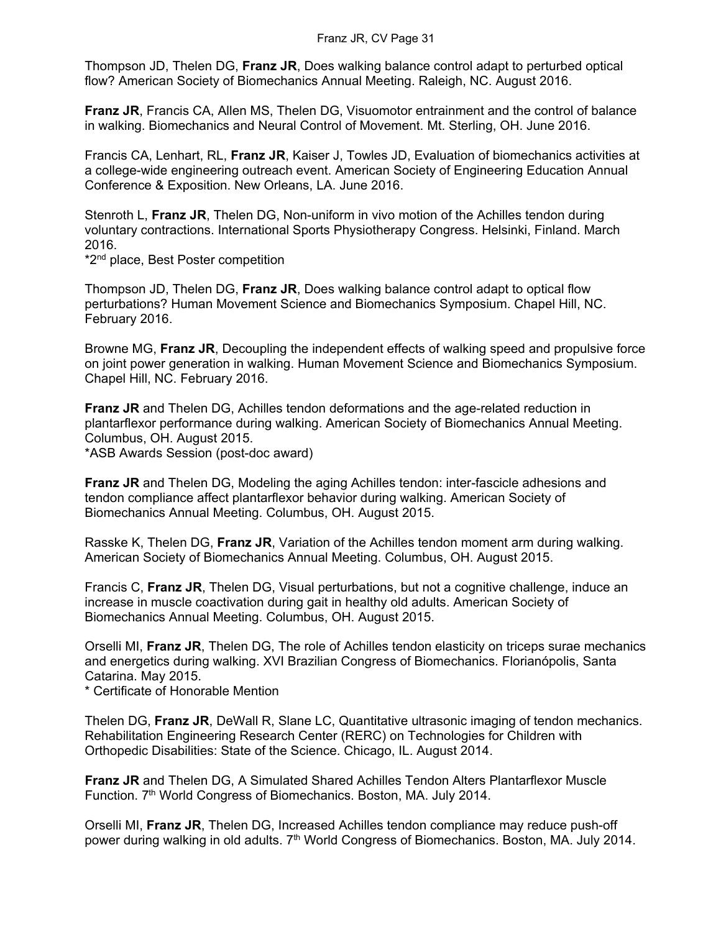Thompson JD, Thelen DG, **Franz JR**, Does walking balance control adapt to perturbed optical flow? American Society of Biomechanics Annual Meeting. Raleigh, NC. August 2016.

**Franz JR**, Francis CA, Allen MS, Thelen DG, Visuomotor entrainment and the control of balance in walking. Biomechanics and Neural Control of Movement. Mt. Sterling, OH. June 2016.

Francis CA, Lenhart, RL, **Franz JR**, Kaiser J, Towles JD, Evaluation of biomechanics activities at a college-wide engineering outreach event. American Society of Engineering Education Annual Conference & Exposition. New Orleans, LA. June 2016.

Stenroth L, **Franz JR**, Thelen DG, Non-uniform in vivo motion of the Achilles tendon during voluntary contractions. International Sports Physiotherapy Congress. Helsinki, Finland. March 2016.

\*2nd place, Best Poster competition

Thompson JD, Thelen DG, **Franz JR**, Does walking balance control adapt to optical flow perturbations? Human Movement Science and Biomechanics Symposium. Chapel Hill, NC. February 2016.

Browne MG, **Franz JR**, Decoupling the independent effects of walking speed and propulsive force on joint power generation in walking. Human Movement Science and Biomechanics Symposium. Chapel Hill, NC. February 2016.

**Franz JR** and Thelen DG, Achilles tendon deformations and the age-related reduction in plantarflexor performance during walking. American Society of Biomechanics Annual Meeting. Columbus, OH. August 2015.

\*ASB Awards Session (post-doc award)

**Franz JR** and Thelen DG, Modeling the aging Achilles tendon: inter-fascicle adhesions and tendon compliance affect plantarflexor behavior during walking. American Society of Biomechanics Annual Meeting. Columbus, OH. August 2015.

Rasske K, Thelen DG, **Franz JR**, Variation of the Achilles tendon moment arm during walking. American Society of Biomechanics Annual Meeting. Columbus, OH. August 2015.

Francis C, **Franz JR**, Thelen DG, Visual perturbations, but not a cognitive challenge, induce an increase in muscle coactivation during gait in healthy old adults. American Society of Biomechanics Annual Meeting. Columbus, OH. August 2015.

Orselli MI, **Franz JR**, Thelen DG, The role of Achilles tendon elasticity on triceps surae mechanics and energetics during walking. XVI Brazilian Congress of Biomechanics. Florianópolis, Santa Catarina. May 2015.

\* Certificate of Honorable Mention

Thelen DG, **Franz JR**, DeWall R, Slane LC, Quantitative ultrasonic imaging of tendon mechanics. Rehabilitation Engineering Research Center (RERC) on Technologies for Children with Orthopedic Disabilities: State of the Science. Chicago, IL. August 2014.

**Franz JR** and Thelen DG, A Simulated Shared Achilles Tendon Alters Plantarflexor Muscle Function. 7th World Congress of Biomechanics. Boston, MA. July 2014.

Orselli MI, **Franz JR**, Thelen DG, Increased Achilles tendon compliance may reduce push-off power during walking in old adults. 7<sup>th</sup> World Congress of Biomechanics. Boston, MA. July 2014.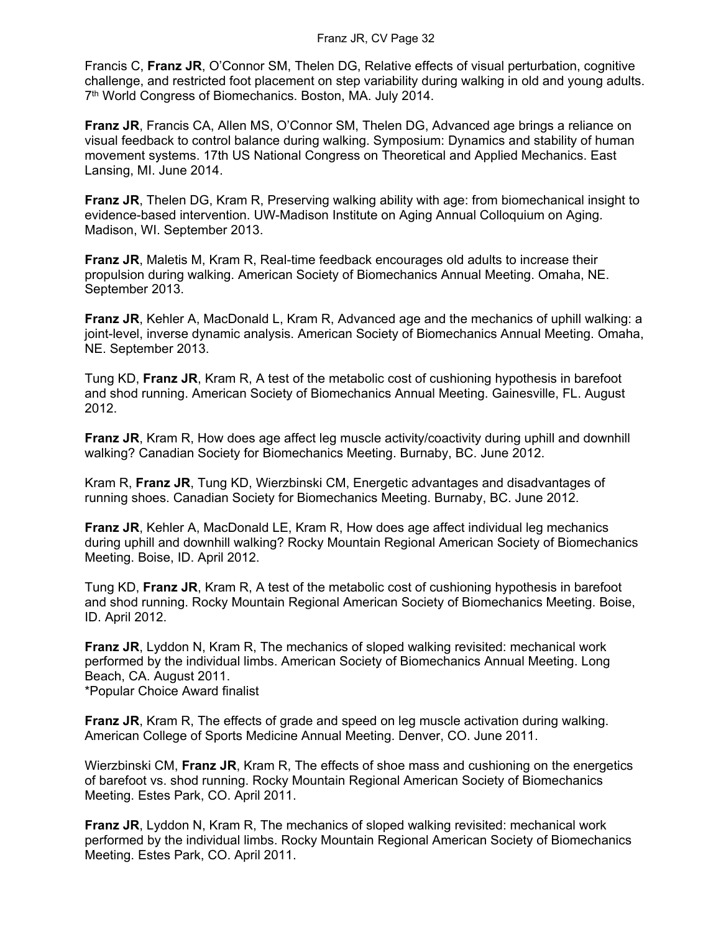Francis C, **Franz JR**, O'Connor SM, Thelen DG, Relative effects of visual perturbation, cognitive challenge, and restricted foot placement on step variability during walking in old and young adults. 7<sup>th</sup> World Congress of Biomechanics. Boston, MA. July 2014.

**Franz JR**, Francis CA, Allen MS, O'Connor SM, Thelen DG, Advanced age brings a reliance on visual feedback to control balance during walking. Symposium: Dynamics and stability of human movement systems. 17th US National Congress on Theoretical and Applied Mechanics. East Lansing, MI. June 2014.

**Franz JR**, Thelen DG, Kram R, Preserving walking ability with age: from biomechanical insight to evidence-based intervention. UW-Madison Institute on Aging Annual Colloquium on Aging. Madison, WI. September 2013.

**Franz JR**, Maletis M, Kram R, Real-time feedback encourages old adults to increase their propulsion during walking. American Society of Biomechanics Annual Meeting. Omaha, NE. September 2013.

**Franz JR**, Kehler A, MacDonald L, Kram R, Advanced age and the mechanics of uphill walking: a joint-level, inverse dynamic analysis. American Society of Biomechanics Annual Meeting. Omaha, NE. September 2013.

Tung KD, **Franz JR**, Kram R, A test of the metabolic cost of cushioning hypothesis in barefoot and shod running. American Society of Biomechanics Annual Meeting. Gainesville, FL. August 2012.

**Franz JR, Kram R, How does age affect leg muscle activity/coactivity during uphill and downhill** walking? Canadian Society for Biomechanics Meeting. Burnaby, BC. June 2012.

Kram R, **Franz JR**, Tung KD, Wierzbinski CM, Energetic advantages and disadvantages of running shoes. Canadian Society for Biomechanics Meeting. Burnaby, BC. June 2012.

**Franz JR**, Kehler A, MacDonald LE, Kram R, How does age affect individual leg mechanics during uphill and downhill walking? Rocky Mountain Regional American Society of Biomechanics Meeting. Boise, ID. April 2012.

Tung KD, **Franz JR**, Kram R, A test of the metabolic cost of cushioning hypothesis in barefoot and shod running. Rocky Mountain Regional American Society of Biomechanics Meeting. Boise, ID. April 2012.

**Franz JR**, Lyddon N, Kram R, The mechanics of sloped walking revisited: mechanical work performed by the individual limbs. American Society of Biomechanics Annual Meeting. Long Beach, CA. August 2011. \*Popular Choice Award finalist

**Franz JR**, Kram R, The effects of grade and speed on leg muscle activation during walking. American College of Sports Medicine Annual Meeting. Denver, CO. June 2011.

Wierzbinski CM, **Franz JR**, Kram R, The effects of shoe mass and cushioning on the energetics of barefoot vs. shod running. Rocky Mountain Regional American Society of Biomechanics Meeting. Estes Park, CO. April 2011.

**Franz JR**, Lyddon N, Kram R, The mechanics of sloped walking revisited: mechanical work performed by the individual limbs. Rocky Mountain Regional American Society of Biomechanics Meeting. Estes Park, CO. April 2011.